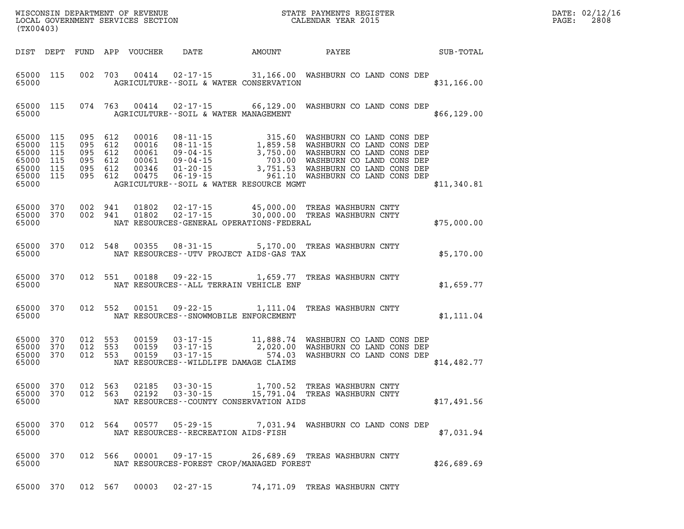| PAGE: | DATE: 02/12/16<br>2808 |
|-------|------------------------|
|       |                        |

| (TX00403)                                                                           |     |         |         |               |                                                            |                                                                                                                                                                                                                                                                                    |             | DATE: 02/12/1<br>$\mathtt{PAGE}$ :<br>2808 |
|-------------------------------------------------------------------------------------|-----|---------|---------|---------------|------------------------------------------------------------|------------------------------------------------------------------------------------------------------------------------------------------------------------------------------------------------------------------------------------------------------------------------------------|-------------|--------------------------------------------|
|                                                                                     |     |         |         |               |                                                            | DIST DEPT FUND APP VOUCHER DATE AMOUNT PAYEE SUB-TOTAL                                                                                                                                                                                                                             |             |                                            |
| 65000                                                                               |     |         |         |               |                                                            | 65000 115 002 703 00414 02-17-15 31,166.00 WASHBURN CO LAND CONS DEP<br>AGRICULTURE -- SOIL & WATER CONSERVATION                                                                                                                                                                   | \$31,166.00 |                                            |
| 65000                                                                               |     |         |         |               |                                                            | 65000 115 074 763 00414 02-17-15 66,129.00 WASHBURN CO LAND CONS DEP<br>AGRICULTURE--SOIL & WATER MANAGEMENT                                                                                                                                                                       | \$66,129.00 |                                            |
| 65000 115<br>65000 115<br>65000 115<br>65000 115<br>65000 115<br>65000 115<br>65000 |     |         |         |               |                                                            | 095 612 00016 08-11-15 315.60 WASHBURN COLAND CONS DEP<br>095 612 00061 09-04-15 1,859.58 WASHBURN COLAND CONS DEP<br>095 612 00061 09-04-15 3,750.00 WASHBURN COLAND CONS DEP<br>095 612 00061 09-04-15 703.00 WASHBURN COLAND CONS DE<br>AGRICULTURE--SOIL & WATER RESOURCE MGMT | \$11,340.81 |                                            |
| 65000 370<br>65000 370<br>65000                                                     |     |         |         |               |                                                            | 002 941 01802 02-17-15 45,000.00 TREASWASHBURN CNTY<br>002 941 01802 02-17-15 30,000.00 TREASWASHBURN CNTY<br>NAT RESOURCES-GENERAL OPERATIONS-FEDERAL                                                                                                                             | \$75,000.00 |                                            |
|                                                                                     |     |         |         |               |                                                            | 65000 370 012 548 00355 08-31-15 5,170.00 TREAS WASHBURN CNTY<br>65000 NAT RESOURCES--UTV PROJECT AIDS-GAS TAX                                                                                                                                                                     | \$5,170.00  |                                            |
|                                                                                     |     |         |         |               |                                                            | 65000 370 012 551 00188 09-22-15 1,659.77 TREAS WASHBURN CNTY                                                                                                                                                                                                                      | \$1,659.77  |                                            |
|                                                                                     |     |         |         |               | 65000 NAT RESOURCES - SNOWMOBILE ENFORCEMENT               | 65000 370 012 552 00151 09-22-15 1,111.04 TREAS WASHBURN CNTY                                                                                                                                                                                                                      | \$1,111.04  |                                            |
| 65000 370<br>65000 370<br>65000 370<br>65000                                        |     |         |         |               | NAT RESOURCES--WILDLIFE DAMAGE CLAIMS                      | 012 553 00159 03-17-15 11,888.74 WASHBURN CO LAND CONS DEP<br>012 553 00159 03-17-15 2,020.00 WASHBURN CO LAND CONS DEP<br>012 553 00159 03-17-15 574.03 WASHBURN CO LAND CONS DEP                                                                                                 | \$14,482.77 |                                            |
| 65000 370<br>65000                                                                  |     | 012 563 |         | 02185         | NAT RESOURCES--COUNTY CONSERVATION AIDS                    | $03-30-15$ $1,700.52$ TREAS WASHBURN CNTY<br>65000 370 012 563 02192 03-30-15 15,791.04 TREAS WASHBURN CNTY                                                                                                                                                                        | \$17,491.56 |                                            |
| 65000 370<br>65000                                                                  |     |         |         | 012 564 00577 | $05 - 29 - 15$<br>NAT RESOURCES - - RECREATION AIDS - FISH | 7,031.94 WASHBURN CO LAND CONS DEP                                                                                                                                                                                                                                                 | \$7,031.94  |                                            |
| 65000<br>65000                                                                      | 370 |         |         | 012 566 00001 | 09 - 17 - 15<br>NAT RESOURCES-FOREST CROP/MANAGED FOREST   | 26,689.69 TREAS WASHBURN CNTY                                                                                                                                                                                                                                                      | \$26,689.69 |                                            |
| 65000 370                                                                           |     |         | 012 567 | 00003         | $02 - 27 - 15$                                             | 74,171.09 TREAS WASHBURN CNTY                                                                                                                                                                                                                                                      |             |                                            |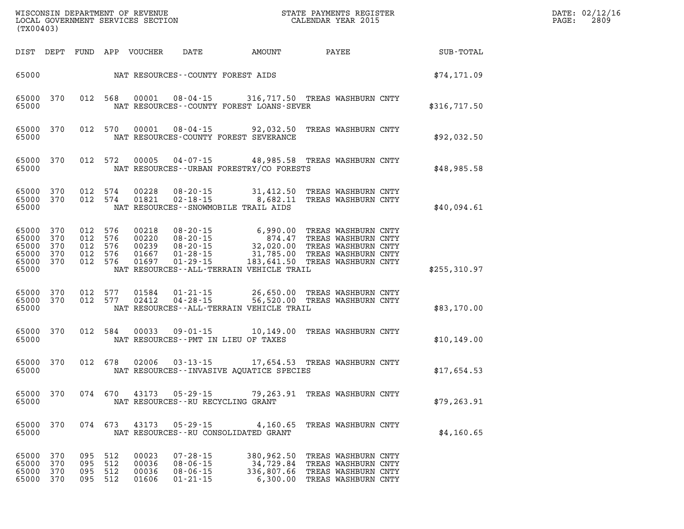| DATE: | 02/12/16 |
|-------|----------|
| PAGE: | 2809     |

| (TX00403)                        |                                                   |                          |                                                     |                                  |                                                                      |                                                                                                                                                                                                                                                                                            |                                                                                                   |  | DATE: 02/12/1<br>2809<br>PAGE: |  |
|----------------------------------|---------------------------------------------------|--------------------------|-----------------------------------------------------|----------------------------------|----------------------------------------------------------------------|--------------------------------------------------------------------------------------------------------------------------------------------------------------------------------------------------------------------------------------------------------------------------------------------|---------------------------------------------------------------------------------------------------|--|--------------------------------|--|
|                                  |                                                   |                          |                                                     | DIST DEPT FUND APP VOUCHER       |                                                                      | DATE AMOUNT                                                                                                                                                                                                                                                                                | <b>PAYEE</b> PAYEE                                                                                |  | SUB-TOTAL                      |  |
|                                  |                                                   |                          |                                                     |                                  |                                                                      |                                                                                                                                                                                                                                                                                            |                                                                                                   |  | \$74,171.09                    |  |
| 65000                            | 65000 370                                         |                          |                                                     |                                  |                                                                      | 012 568 00001 08-04-15 316, 717.50 TREAS WASHBURN CNTY<br>NAT RESOURCES--COUNTY FOREST LOANS-SEVER                                                                                                                                                                                         |                                                                                                   |  | \$316,717.50                   |  |
| 65000                            | 65000 370                                         |                          |                                                     |                                  |                                                                      | 012 570 00001 08-04-15 92,032.50 TREAS WASHBURN CNTY<br>NAT RESOURCES-COUNTY FOREST SEVERANCE                                                                                                                                                                                              |                                                                                                   |  | \$92,032.50                    |  |
| 65000                            | 65000 370                                         |                          |                                                     |                                  |                                                                      | 012 572 00005 04-07-15 48,985.58 TREAS WASHBURN CNTY<br>NAT RESOURCES--URBAN FORESTRY/CO FORESTS                                                                                                                                                                                           |                                                                                                   |  | \$48,985.58                    |  |
| 65000                            | 65000 370<br>65000 370                            |                          |                                                     |                                  |                                                                      | $0.12$ 574 $0.0228$ $0.8 - 20 - 15$ 31,412.50 TREAS WASHBURN CNTY<br>$0.12$ 574 $0.1821$ $0.2 - 18 - 15$ 8,682.11 TREAS WASHBURN CNTY<br>NAT RESOURCES - - SNOWMOBILE TRAIL AIDS                                                                                                           |                                                                                                   |  | \$40,094.61                    |  |
| 65000<br>65000<br>65000          | 65000 370<br>370<br>370<br>65000 370<br>65000 370 |                          | 012 576<br>012 576<br>012 576<br>012 576<br>012 576 |                                  |                                                                      | 00218 08-20-15 6,990.00 TREAS WASHBURN CNTY<br>00220 08-20-15 874.47 TREAS WASHBURN CNTY<br>00239 08-20-15 32,020.00 TREAS WASHBURN CNTY<br>01667 01-28-15 31,785.00 TREAS WASHBURN CNTY<br>01697 01-29-15 183,641.50 TREAS WASHBURN CNTY<br>NAT RESOURCES - - ALL - TERRAIN VEHICLE TRAIL |                                                                                                   |  | \$255,310.97                   |  |
| 65000                            | 65000 370<br>65000 370                            |                          | 012 577                                             | 012 577 02412                    |                                                                      | 01584  01-21-15  26,650.00  TREAS WASHBURN CNTY<br>02412  04-28-15  56,520.00  TREAS WASHBURN CNTY<br>NAT RESOURCES--ALL-TERRAIN VEHICLE TRAIL                                                                                                                                             |                                                                                                   |  | \$83,170.00                    |  |
| 65000                            | 65000 370                                         |                          | 012 584                                             |                                  |                                                                      | 00033  09-01-15  10,149.00  TREAS WASHBURN CNTY<br>NAT RESOURCES -- PMT IN LIEU OF TAXES                                                                                                                                                                                                   |                                                                                                   |  | \$10,149.00                    |  |
| 65000                            | 65000 370                                         |                          |                                                     |                                  |                                                                      | 012 678 02006 03-13-15 17,654.53 TREAS WASHBURN CNTY<br>NAT RESOURCES--INVASIVE AQUATICE SPECIES                                                                                                                                                                                           |                                                                                                   |  | \$17,654.53                    |  |
| 65000                            | 65000 370                                         |                          | 074 670                                             | 43173                            | 05-29-15<br>NAT RESOURCES - - RU RECYCLING GRANT                     |                                                                                                                                                                                                                                                                                            | 79,263.91 TREAS WASHBURN CNTY                                                                     |  | \$79,263.91                    |  |
| 65000<br>65000                   | 370                                               |                          | 074 673                                             | 43173                            | $05 - 29 - 15$                                                       | 4,160.65<br>NAT RESOURCES - - RU CONSOLIDATED GRANT                                                                                                                                                                                                                                        | TREAS WASHBURN CNTY                                                                               |  | \$4,160.65                     |  |
| 65000<br>65000<br>65000<br>65000 | 370<br>370<br>370<br>370                          | 095<br>095<br>095<br>095 | 512<br>512<br>512<br>512                            | 00023<br>00036<br>00036<br>01606 | $07 - 28 - 15$<br>$08 - 06 - 15$<br>$08 - 06 - 15$<br>$01 - 21 - 15$ | 380,962.50<br>34,729.84<br>336,807.66                                                                                                                                                                                                                                                      | TREAS WASHBURN CNTY<br>TREAS WASHBURN CNTY<br>TREAS WASHBURN CNTY<br>6,300.00 TREAS WASHBURN CNTY |  |                                |  |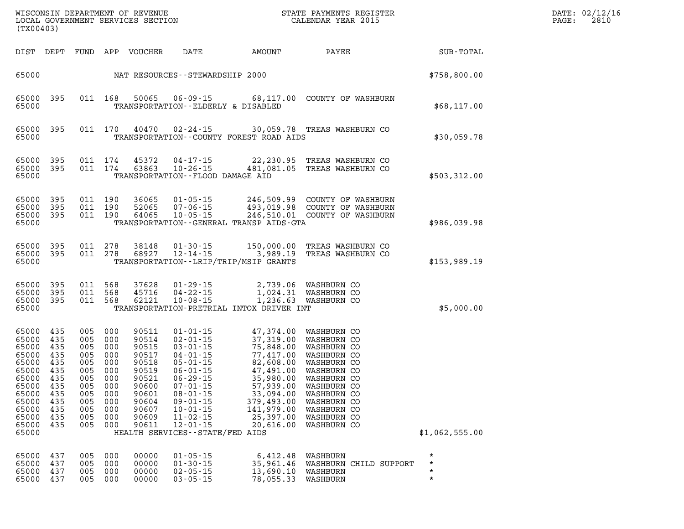| WISCONSIN DEPARTMENT OF REVENUE<br>LOCAL GOVERNMENT SERVICES SECTION<br>(TX00403)                                          |                                                                                         |                                                                                         |                                                                                         |                                                                                                                   |                                                                                                                                                                                                                                                                              |                                                                                                                                                                         | STATE PAYMENTS REGISTER<br>CALENDAR YEAR 2015                                                                                                                                                   |                                           | DATE: 02/12/1<br>2810<br>PAGE: |
|----------------------------------------------------------------------------------------------------------------------------|-----------------------------------------------------------------------------------------|-----------------------------------------------------------------------------------------|-----------------------------------------------------------------------------------------|-------------------------------------------------------------------------------------------------------------------|------------------------------------------------------------------------------------------------------------------------------------------------------------------------------------------------------------------------------------------------------------------------------|-------------------------------------------------------------------------------------------------------------------------------------------------------------------------|-------------------------------------------------------------------------------------------------------------------------------------------------------------------------------------------------|-------------------------------------------|--------------------------------|
| DIST DEPT                                                                                                                  |                                                                                         |                                                                                         |                                                                                         | FUND APP VOUCHER                                                                                                  | DATE                                                                                                                                                                                                                                                                         | AMOUNT                                                                                                                                                                  | PAYEE                                                                                                                                                                                           | SUB-TOTAL                                 |                                |
| 65000                                                                                                                      |                                                                                         |                                                                                         |                                                                                         |                                                                                                                   | NAT RESOURCES - - STEWARDSHIP 2000                                                                                                                                                                                                                                           |                                                                                                                                                                         |                                                                                                                                                                                                 | \$758,800.00                              |                                |
| 65000 395<br>65000                                                                                                         |                                                                                         |                                                                                         | 011 168                                                                                 | 50065                                                                                                             | 06-09-15<br>TRANSPORTATION--ELDERLY & DISABLED                                                                                                                                                                                                                               |                                                                                                                                                                         | 68,117.00 COUNTY OF WASHBURN                                                                                                                                                                    | \$68,117.00                               |                                |
| 65000<br>65000                                                                                                             | 395                                                                                     |                                                                                         | 011 170                                                                                 | 40470                                                                                                             | 02-24-15                                                                                                                                                                                                                                                                     | TRANSPORTATION--COUNTY FOREST ROAD AIDS                                                                                                                                 | 30,059.78 TREAS WASHBURN CO                                                                                                                                                                     | \$30,059.78                               |                                |
| 65000<br>65000<br>65000                                                                                                    | 395<br>395                                                                              |                                                                                         | 011 174<br>011 174                                                                      | 45372<br>63863                                                                                                    | $04 - 17 - 15$<br>$10 - 26 - 15$<br>TRANSPORTATION - - FLOOD DAMAGE AID                                                                                                                                                                                                      |                                                                                                                                                                         | 22,230.95 TREAS WASHBURN CO<br>481,081.05 TREAS WASHBURN CO                                                                                                                                     | \$503,312.00                              |                                |
| 65000<br>65000<br>65000<br>65000                                                                                           | 395<br>395<br>395                                                                       |                                                                                         | 011 190<br>011 190<br>011 190                                                           | 36065<br>52065<br>64065                                                                                           | $01 - 05 - 15$<br>$07 - 06 - 15$<br>$10 - 05 - 15$                                                                                                                                                                                                                           | TRANSPORTATION - - GENERAL TRANSP AIDS - GTA                                                                                                                            | 246,509.99 COUNTY OF WASHBURN<br>493,019.98 COUNTY OF WASHBURN<br>246,510.01 COUNTY OF WASHBURN                                                                                                 | \$986,039.98                              |                                |
| 65000<br>65000<br>65000                                                                                                    | - 395<br>395                                                                            |                                                                                         | 011 278<br>011 278                                                                      | 38148<br>68927                                                                                                    | $01 - 30 - 15$<br>$12 - 14 - 15$                                                                                                                                                                                                                                             | 150,000.00<br>3,989.19<br>TRANSPORTATION - - LRIP/TRIP/MSIP GRANTS                                                                                                      | TREAS WASHBURN CO<br>TREAS WASHBURN CO                                                                                                                                                          | \$153,989.19                              |                                |
| 65000<br>65000<br>65000<br>65000                                                                                           | 395<br>395<br>395                                                                       |                                                                                         | 011 568<br>011 568<br>011 568                                                           | 37628<br>45716<br>62121                                                                                           | $01 - 29 - 15$<br>$04 - 22 - 15$<br>$10 - 08 - 15$                                                                                                                                                                                                                           | 2,739.06<br>TRANSPORTATION-PRETRIAL INTOX DRIVER INT                                                                                                                    | WASHBURN CO<br>1,024.31 WASHBURN CO<br>1,236.63 WASHBURN CO                                                                                                                                     | \$5,000.00                                |                                |
| 65000<br>65000<br>65000<br>65000<br>65000<br>65000<br>65000<br>65000<br>65000<br>65000<br>65000<br>65000<br>65000<br>65000 | 435<br>435<br>435<br>435<br>435<br>435<br>435<br>435<br>435<br>435<br>435<br>435<br>435 | 005<br>005<br>005<br>005<br>005<br>005<br>005<br>005<br>005<br>005<br>005<br>005<br>005 | 000<br>000<br>000<br>000<br>000<br>000<br>000<br>000<br>000<br>000<br>000<br>000<br>000 | 90511<br>90514<br>90515<br>90517<br>90518<br>90519<br>90521<br>90600<br>90601<br>90604<br>90607<br>90609<br>90611 | $01 - 01 - 15$<br>$02 - 01 - 15$<br>$03 - 01 - 15$<br>$04 - 01 - 15$<br>$05 - 01 - 15$<br>$06 - 01 - 15$<br>$06 - 29 - 15$<br>$07 - 01 - 15$<br>$08 - 01 - 15$<br>$09 - 01 - 15$<br>$10 - 01 - 15$<br>$11 - 02 - 15$<br>$12 - 01 - 15$<br>HEALTH SERVICES - - STATE/FED AIDS | 47,374.00<br>37,319.00<br>75,848.00<br>77,417.00<br>82,608.00<br>47,491.00<br>35,980.00<br>57,939.00<br>33,094.00<br>379,493.00<br>141,979.00<br>25,397.00<br>20,616.00 | WASHBURN CO<br>WASHBURN CO<br>WASHBURN CO<br>WASHBURN CO<br>WASHBURN CO<br>WASHBURN CO<br>WASHBURN CO<br>WASHBURN CO<br>WASHBURN CO<br>WASHBURN CO<br>WASHBURN CO<br>WASHBURN CO<br>WASHBURN CO | \$1,062,555.00                            |                                |
| 65000<br>65000<br>65000<br>65000                                                                                           | 437<br>437<br>437<br>437                                                                | 005<br>005<br>005<br>005                                                                | 000<br>000<br>000<br>000                                                                | 00000<br>00000<br>00000<br>00000                                                                                  | $01 - 05 - 15$<br>$01 - 30 - 15$<br>$02 - 05 - 15$<br>$03 - 05 - 15$                                                                                                                                                                                                         | 6,412.48<br>35,961.46<br>13,690.10<br>78,055.33                                                                                                                         | WASHBURN<br>WASHBURN CHILD SUPPORT<br>WASHBURN<br>WASHBURN                                                                                                                                      | $^\star$<br>$\star$<br>$\star$<br>$\star$ |                                |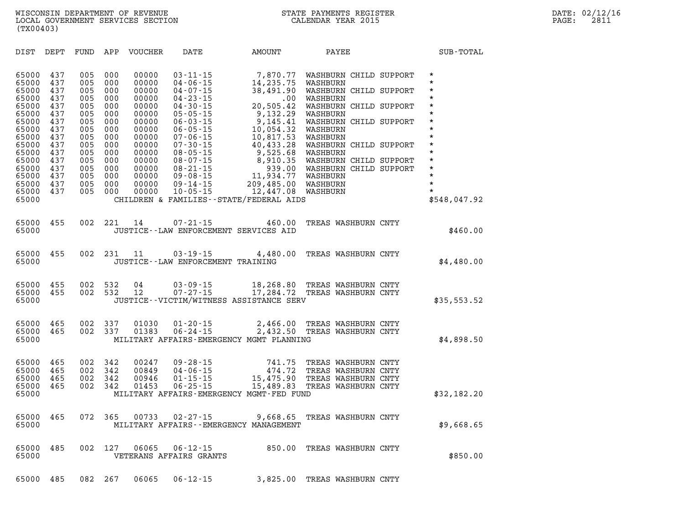| DIST                                                                                                                                                  | DEPT                                                                                                         | FUND                                                                                                         | APP                                                                                                          | <b>VOUCHER</b>                                                                                                                               | DATE                                                                                                                                                                                                                                                                                         | AMOUNT                                                                                                                                                                                                                                     | PAYEE                                                                                                                                                                                                                                                                                          | SUB-TOTAL                                                                                                                                                                  |
|-------------------------------------------------------------------------------------------------------------------------------------------------------|--------------------------------------------------------------------------------------------------------------|--------------------------------------------------------------------------------------------------------------|--------------------------------------------------------------------------------------------------------------|----------------------------------------------------------------------------------------------------------------------------------------------|----------------------------------------------------------------------------------------------------------------------------------------------------------------------------------------------------------------------------------------------------------------------------------------------|--------------------------------------------------------------------------------------------------------------------------------------------------------------------------------------------------------------------------------------------|------------------------------------------------------------------------------------------------------------------------------------------------------------------------------------------------------------------------------------------------------------------------------------------------|----------------------------------------------------------------------------------------------------------------------------------------------------------------------------|
| 65000<br>65000<br>65000<br>65000<br>65000<br>65000<br>65000<br>65000<br>65000<br>65000<br>65000<br>65000<br>65000<br>65000<br>65000<br>65000<br>65000 | 437<br>437<br>437<br>437<br>437<br>437<br>437<br>437<br>437<br>437<br>437<br>437<br>437<br>437<br>437<br>437 | 005<br>005<br>005<br>005<br>005<br>005<br>005<br>005<br>005<br>005<br>005<br>005<br>005<br>005<br>005<br>005 | 000<br>000<br>000<br>000<br>000<br>000<br>000<br>000<br>000<br>000<br>000<br>000<br>000<br>000<br>000<br>000 | 00000<br>00000<br>00000<br>00000<br>00000<br>00000<br>00000<br>00000<br>00000<br>00000<br>00000<br>00000<br>00000<br>00000<br>00000<br>00000 | $03 - 11 - 15$<br>$04 - 06 - 15$<br>$04 - 07 - 15$<br>$04 - 23 - 15$<br>$04 - 30 - 15$<br>$05 - 05 - 15$<br>$06 - 03 - 15$<br>$06 - 05 - 15$<br>$07 - 06 - 15$<br>$07 - 30 - 15$<br>$08 - 05 - 15$<br>$08 - 07 - 15$<br>$08 - 21 - 15$<br>$09 - 08 - 15$<br>$09 - 14 - 15$<br>$10 - 05 - 15$ | 7,870.77<br>14,235.75<br>38,491.90<br>.00<br>20,505.42<br>9,132.29<br>9,145.41<br>10,054.32<br>10,817.53<br>40,433.28<br>9,525.68<br>8,910.35<br>939.00<br>11,934.77<br>209,485.00<br>12,447.08<br>CHILDREN & FAMILIES--STATE/FEDERAL AIDS | WASHBURN CHILD SUPPORT<br>WASHBURN<br>WASHBURN CHILD SUPPORT<br>WASHBURN<br>WASHBURN CHILD SUPPORT<br>WASHBURN<br>WASHBURN CHILD SUPPORT<br>WASHBURN<br>WASHBURN<br>WASHBURN CHILD SUPPORT<br>WASHBURN<br>WASHBURN CHILD SUPPORT<br>WASHBURN CHILD SUPPORT<br>WASHBURN<br>WASHBURN<br>WASHBURN | $\star$<br>$\star$<br>$\star$<br>*<br>*<br>$\star$<br>*<br>$\star$<br>$\star$<br>$\star$<br>$\star$<br>$\star$<br>$\star$<br>$\star$<br>$\star$<br>$\star$<br>\$548,047.92 |
| 65000<br>65000                                                                                                                                        | 455                                                                                                          | 002                                                                                                          | 221                                                                                                          | 14                                                                                                                                           | $07 - 21 - 15$                                                                                                                                                                                                                                                                               | 460.00<br>JUSTICE--LAW ENFORCEMENT SERVICES AID                                                                                                                                                                                            | TREAS WASHBURN CNTY                                                                                                                                                                                                                                                                            | \$460.00                                                                                                                                                                   |
| 65000<br>65000                                                                                                                                        | 455                                                                                                          | 002                                                                                                          | 231                                                                                                          | 11                                                                                                                                           | $03 - 19 - 15$<br>JUSTICE - - LAW ENFORCEMENT TRAINING                                                                                                                                                                                                                                       | 4,480.00                                                                                                                                                                                                                                   | TREAS WASHBURN CNTY                                                                                                                                                                                                                                                                            | \$4,480.00                                                                                                                                                                 |
| 65000<br>65000<br>65000                                                                                                                               | 455<br>455                                                                                                   | 002<br>002                                                                                                   | 532<br>532                                                                                                   | 04<br>12                                                                                                                                     | $03 - 09 - 15$<br>$07 - 27 - 15$                                                                                                                                                                                                                                                             | 18,268.80<br>17,284.72<br>JUSTICE--VICTIM/WITNESS ASSISTANCE SERV                                                                                                                                                                          | TREAS WASHBURN CNTY<br>TREAS WASHBURN CNTY                                                                                                                                                                                                                                                     | \$35,553.52                                                                                                                                                                |
| 65000<br>65000<br>65000                                                                                                                               | 465<br>465                                                                                                   | 002<br>002                                                                                                   | 337<br>337                                                                                                   | 01030<br>01383                                                                                                                               | $01 - 20 - 15$<br>$06 - 24 - 15$                                                                                                                                                                                                                                                             | 2,466.00<br>2,432.50<br>MILITARY AFFAIRS-EMERGENCY MGMT PLANNING                                                                                                                                                                           | TREAS WASHBURN CNTY<br>TREAS WASHBURN CNTY                                                                                                                                                                                                                                                     | \$4,898.50                                                                                                                                                                 |
| 65000<br>65000<br>65000<br>65000<br>65000                                                                                                             | 465<br>465<br>465<br>465                                                                                     | 002<br>002<br>002<br>002                                                                                     | 342<br>342<br>342<br>342                                                                                     | 00247<br>00849<br>00946<br>01453                                                                                                             | $09 - 28 - 15$<br>$04 - 06 - 15$<br>$01 - 15 - 15$<br>$06 - 25 - 15$                                                                                                                                                                                                                         | 741.75<br>474.72<br>15,475.90<br>15,489.83<br>MILITARY AFFAIRS-EMERGENCY MGMT-FED FUND                                                                                                                                                     | TREAS WASHBURN CNTY<br>TREAS WASHBURN CNTY<br>TREAS WASHBURN CNTY<br>TREAS WASHBURN CNTY                                                                                                                                                                                                       | \$32,182.20                                                                                                                                                                |
| 65000<br>65000                                                                                                                                        | 465                                                                                                          | 072                                                                                                          | 365                                                                                                          | 00733                                                                                                                                        | $02 - 27 - 15$                                                                                                                                                                                                                                                                               | 9,668.65<br>MILITARY AFFAIRS - - EMERGENCY MANAGEMENT                                                                                                                                                                                      | TREAS WASHBURN CNTY                                                                                                                                                                                                                                                                            | \$9,668.65                                                                                                                                                                 |
| 65000<br>65000                                                                                                                                        | 485                                                                                                          | 002                                                                                                          | 127                                                                                                          | 06065                                                                                                                                        | $06 - 12 - 15$<br>VETERANS AFFAIRS GRANTS                                                                                                                                                                                                                                                    | 850.00                                                                                                                                                                                                                                     | TREAS WASHBURN CNTY                                                                                                                                                                                                                                                                            | \$850.00                                                                                                                                                                   |
| 65000                                                                                                                                                 | 485                                                                                                          | 082                                                                                                          | 267                                                                                                          | 06065                                                                                                                                        | $06 - 12 - 15$                                                                                                                                                                                                                                                                               | 3,825.00                                                                                                                                                                                                                                   | TREAS WASHBURN CNTY                                                                                                                                                                                                                                                                            |                                                                                                                                                                            |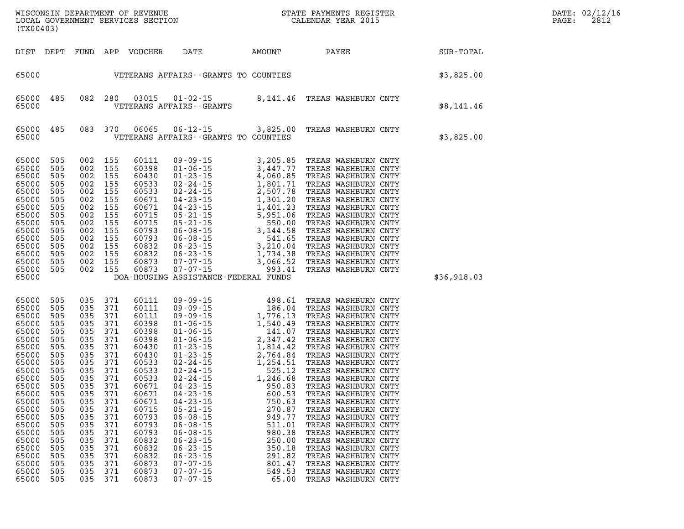| $\mathtt{DATE}$ : | 02/12/16 |
|-------------------|----------|
| PAGE:             | 2812     |

| (TX00403)                                                                                                                                                                                                   |                                                                                                                                                               |                                                                                                       |                                                                                                                                                                                               |                                                                                                                                                                                                             |                                                                                                                                                                                                    |                                                                                                            |                                                                                                                                                                                                                                                                                                                                                                                                                                                                                                       | $R = \frac{1}{2}$ | DATE: 02/12/1<br>PAGE:<br>2812 |
|-------------------------------------------------------------------------------------------------------------------------------------------------------------------------------------------------------------|---------------------------------------------------------------------------------------------------------------------------------------------------------------|-------------------------------------------------------------------------------------------------------|-----------------------------------------------------------------------------------------------------------------------------------------------------------------------------------------------|-------------------------------------------------------------------------------------------------------------------------------------------------------------------------------------------------------------|----------------------------------------------------------------------------------------------------------------------------------------------------------------------------------------------------|------------------------------------------------------------------------------------------------------------|-------------------------------------------------------------------------------------------------------------------------------------------------------------------------------------------------------------------------------------------------------------------------------------------------------------------------------------------------------------------------------------------------------------------------------------------------------------------------------------------------------|-------------------|--------------------------------|
|                                                                                                                                                                                                             |                                                                                                                                                               |                                                                                                       |                                                                                                                                                                                               | DIST DEPT FUND APP VOUCHER                                                                                                                                                                                  |                                                                                                                                                                                                    |                                                                                                            | DATE AMOUNT PAYEE SUB-TOTAL                                                                                                                                                                                                                                                                                                                                                                                                                                                                           |                   |                                |
|                                                                                                                                                                                                             |                                                                                                                                                               |                                                                                                       |                                                                                                                                                                                               |                                                                                                                                                                                                             | 65000    VETERANS AFFAIRS - GRANTS TO COUNTIES                                                                                                                                                     |                                                                                                            | \$3,825.00                                                                                                                                                                                                                                                                                                                                                                                                                                                                                            |                   |                                |
| 65000 485<br>65000                                                                                                                                                                                          |                                                                                                                                                               |                                                                                                       |                                                                                                                                                                                               |                                                                                                                                                                                                             | VETERANS AFFAIRS - - GRANTS                                                                                                                                                                        |                                                                                                            | 082 280 03015 01-02-15 8,141.46 TREAS WASHBURN CNTY                                                                                                                                                                                                                                                                                                                                                                                                                                                   | \$8,141.46        |                                |
| 65000                                                                                                                                                                                                       | 65000 485                                                                                                                                                     |                                                                                                       |                                                                                                                                                                                               | 083 370 06065                                                                                                                                                                                               | VETERANS AFFAIRS - GRANTS TO COUNTIES                                                                                                                                                              |                                                                                                            | 06-12-15 3,825.00 TREAS WASHBURN CNTY                                                                                                                                                                                                                                                                                                                                                                                                                                                                 | \$3,825.00        |                                |
| 65000<br>65000<br>65000<br>65000<br>65000<br>65000<br>65000<br>65000<br>65000<br>65000<br>65000<br>65000<br>65000<br>65000<br>65000                                                                         | 505<br>505<br>505<br>505<br>505<br>505<br>505<br>505<br>505<br>505<br>505<br>505<br>505<br>505<br>65000 505                                                   |                                                                                                       | 002 155<br>002 155<br>002 155<br>002 155<br>002 155<br>002 155<br>002 155<br>002 155<br>002 155<br>002 155<br>002 155<br>002 155<br>002 155<br>002 155<br>002 155                             | 60111<br>60398<br>60430<br>60533<br>60533<br>60671<br>60671<br>60715<br>60715<br>60793<br>60793<br>60832<br>60832<br>60873<br>60873                                                                         | DOA-HOUSING ASSISTANCE-FEDERAL FUNDS                                                                                                                                                               |                                                                                                            | 09-09-15<br>01-06-15<br>3,205.85<br>3,447.77<br>TREAS WASHBURN CNTY<br>01-23-15<br>4,060.85<br>TREAS WASHBURN CNTY<br>02-24-15<br>1,801.71<br>TREAS WASHBURN CNTY<br>04-23-15<br>1,301.20<br>TREAS WASHBURN CNTY<br>04-23-15<br>5,951.06<br>TREAS WASHBURN CN                                                                                                                                                                                                                                         | \$36,918.03       |                                |
| 65000<br>65000<br>65000<br>65000<br>65000<br>65000<br>65000<br>65000<br>65000<br>65000<br>65000<br>65000<br>65000<br>65000<br>65000<br>65000<br>65000<br>65000<br>65000<br>65000<br>65000<br>65000<br>65000 | 505<br>505<br>505<br>505<br>505<br>505<br>505<br>505<br>505<br>505<br>505<br>505<br>505<br>505<br>505<br>505<br>505<br>505<br>505<br>505<br>505<br>505<br>505 | 035<br>035<br>035<br>035<br>035<br>035<br>035<br>035<br>035<br>035<br>035<br>035<br>035<br>035<br>035 | 035 371<br>035 371<br>035 371<br>035 371<br>371<br>371<br>371<br>035 371<br>371<br>035 371<br>035 371<br>035 371<br>371<br>371<br>371<br>371<br>371<br>371<br>371<br>371<br>371<br>371<br>371 | 60111<br>60111<br>60111<br>60398<br>60398<br>60398<br>60430<br>60430<br>60533<br>60533<br>60533<br>60671<br>60671<br>60671<br>60715<br>60793<br>60793<br>60793<br>60832<br>60832<br>60832<br>60873<br>60873 | $04 - 23 - 15$<br>$04 - 23 - 15$<br>$05 - 21 - 15$<br>$06 - 08 - 15$<br>$06 - 08 - 15$<br>$06 - 08 - 15$<br>$06 - 23 - 15$<br>$06 - 23 - 15$<br>$06 - 23 - 15$<br>$07 - 07 - 15$<br>$07 - 07 - 15$ | 600.53<br>750.63<br>270.87<br>949.77<br>511.01<br>980.38<br>250.00<br>350.18<br>291.82<br>801.47<br>549.53 | 09 - 09 - 15 498.61 TREAS WASHBURN CNTY<br>09 - 09 - 15 186.04 TREAS WASHBURN CNTY<br>09 - 09 - 15 1,776.13 TREAS WASHBURN CNTY<br>01 - 06 - 15 1,540.49 TREAS WASHBURN CNTY<br>01 - 06 - 15 2,347.42 TREAS WASHBURN CNTY<br>01 - 23 - 1<br>TREAS WASHBURN CNTY<br>TREAS WASHBURN CNTY<br>TREAS WASHBURN CNTY<br>TREAS WASHBURN CNTY<br>TREAS WASHBURN CNTY<br>TREAS WASHBURN CNTY<br>TREAS WASHBURN CNTY<br>TREAS WASHBURN CNTY<br>TREAS WASHBURN CNTY<br>TREAS WASHBURN CNTY<br>TREAS WASHBURN CNTY |                   |                                |

**65000 505 035 371 60873 07-07-15 65.00 TREAS WASHBURN CNTY**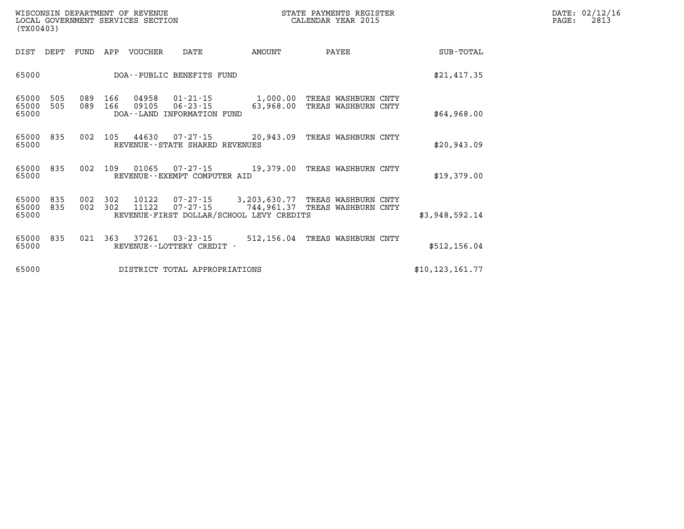| WISCONSIN DEPARTMENT OF REVENUE<br>LOCAL GOVERNMENT SERVICES SECTION<br>(TX00403) |            |            |            |                |                                                                |                                                                        | STATE PAYMENTS REGISTER<br>CALENDAR YEAR 2015 |                   | DATE: 02/12/16<br>2813<br>PAGE: |
|-----------------------------------------------------------------------------------|------------|------------|------------|----------------|----------------------------------------------------------------|------------------------------------------------------------------------|-----------------------------------------------|-------------------|---------------------------------|
| DIST                                                                              | DEPT       | FUND       | APP        | VOUCHER        | DATE                                                           | AMOUNT                                                                 | PAYEE                                         | SUB-TOTAL         |                                 |
| 65000                                                                             |            |            |            |                | DOA--PUBLIC BENEFITS FUND                                      |                                                                        |                                               | \$21,417.35       |                                 |
| 65000<br>65000<br>65000                                                           | 505<br>505 | 089<br>089 | 166<br>166 | 04958<br>09105 | $01 - 21 - 15$<br>$06 - 23 - 15$<br>DOA--LAND INFORMATION FUND | 1,000.00<br>63,968.00                                                  | TREAS WASHBURN CNTY<br>TREAS WASHBURN CNTY    | \$64,968.00       |                                 |
| 65000<br>65000                                                                    | 835        | 002        | 105        | 44630          | 07-27-15<br>REVENUE--STATE SHARED REVENUES                     | 20,943.09                                                              | TREAS WASHBURN CNTY                           | \$20,943.09       |                                 |
| 65000<br>65000                                                                    | 835        |            | 002 109    | 01065          | 07-27-15<br>REVENUE--EXEMPT COMPUTER AID                       | 19,379.00                                                              | TREAS WASHBURN CNTY                           | \$19,379.00       |                                 |
| 65000<br>65000<br>65000                                                           | 835<br>835 | 002<br>002 | 302<br>302 | 10122<br>11122 | 07-27-15<br>$07 - 27 - 15$                                     | 3,203,630.77<br>744,961.37<br>REVENUE-FIRST DOLLAR/SCHOOL LEVY CREDITS | TREAS WASHBURN CNTY<br>TREAS WASHBURN CNTY    | \$3,948,592.14    |                                 |
| 65000<br>65000                                                                    | 835        | 021        | 363        | 37261          | $03 - 23 - 15$<br>REVENUE - - LOTTERY CREDIT -                 |                                                                        | 512,156.04 TREAS WASHBURN CNTY                | \$512, 156.04     |                                 |
| 65000                                                                             |            |            |            |                | DISTRICT TOTAL APPROPRIATIONS                                  |                                                                        |                                               | \$10, 123, 161.77 |                                 |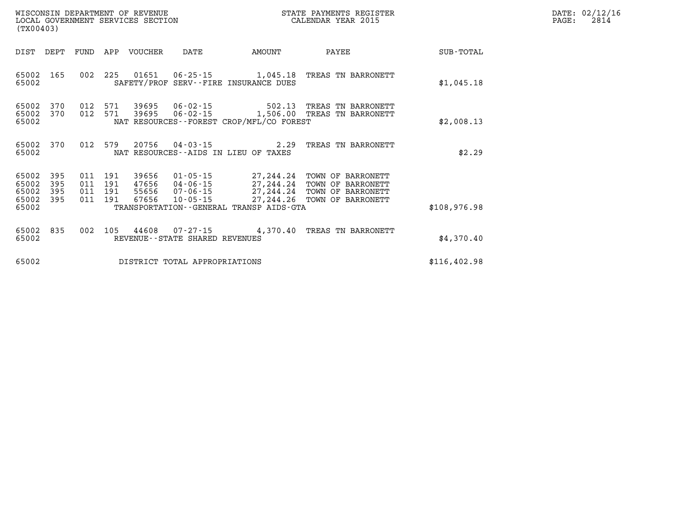| WISCONSIN DEPARTMENT OF REVENUE   | STATE PAYMENTS REGISTER |      | DATE: 02/12/16 |
|-----------------------------------|-------------------------|------|----------------|
| LOCAL GOVERNMENT SERVICES SECTION | CALENDAR YEAR 2015      | PAGE | 2814           |

|              |                                                                                              |                                                                      |                                                                                                    |                                  |                          |                          |                          | (TX00403)                                 |
|--------------|----------------------------------------------------------------------------------------------|----------------------------------------------------------------------|----------------------------------------------------------------------------------------------------|----------------------------------|--------------------------|--------------------------|--------------------------|-------------------------------------------|
| SUB-TOTAL    | PAYEE                                                                                        | AMOUNT                                                               | DATE                                                                                               | <b>VOUCHER</b>                   | APP                      | FUND                     | DEPT                     | DIST                                      |
| \$1,045.18   | TREAS TN BARRONETT                                                                           | 1,045.18<br>SAFETY/PROF SERV--FIRE INSURANCE DUES                    | $06 - 25 - 15$                                                                                     | 01651                            | 225                      | 002                      | 165                      | 65002<br>65002                            |
| \$2,008.13   | TREAS<br>TN BARRONETT<br>TREAS<br>TN BARRONETT                                               | 502.13<br>1,506.00<br>NAT RESOURCES--FOREST CROP/MFL/CO FOREST       | $06 - 02 - 15$<br>$06 - 02 - 15$                                                                   | 39695<br>39695                   | 571<br>571               | 012<br>012               | 370<br>370               | 65002<br>65002<br>65002                   |
| \$2.29       | TREAS<br>TN BARRONETT                                                                        | 2.29<br>NAT RESOURCES--AIDS IN LIEU OF TAXES                         | $04 - 03 - 15$                                                                                     | 20756                            | 579                      | 012                      | 370                      | 65002<br>65002                            |
| \$108,976.98 | TOWN OF<br>BARRONETT<br>TOWN OF<br>BARRONETT<br>TOWN OF<br>BARRONETT<br>TOWN OF<br>BARRONETT | 27,244.24<br>27,244.24<br>27,244.24<br>27, 244.26<br>TRANSP AIDS-GTA | $01 - 05 - 15$<br>$04 - 06 - 15$<br>$07 - 06 - 15$<br>$10 - 05 - 15$<br>TRANSPORTATION - - GENERAL | 39656<br>47656<br>55656<br>67656 | 191<br>191<br>191<br>191 | 011<br>011<br>011<br>011 | 395<br>395<br>395<br>395 | 65002<br>65002<br>65002<br>65002<br>65002 |
| \$4,370.40   | TREAS<br>TN BARRONETT                                                                        | 4,370.40                                                             | $07 - 27 - 15$<br>REVENUE--STATE SHARED REVENUES                                                   | 44608                            | 105                      | 002                      | 835                      | 65002<br>65002                            |
| \$116,402.98 |                                                                                              |                                                                      | DISTRICT TOTAL APPROPRIATIONS                                                                      |                                  |                          |                          |                          | 65002                                     |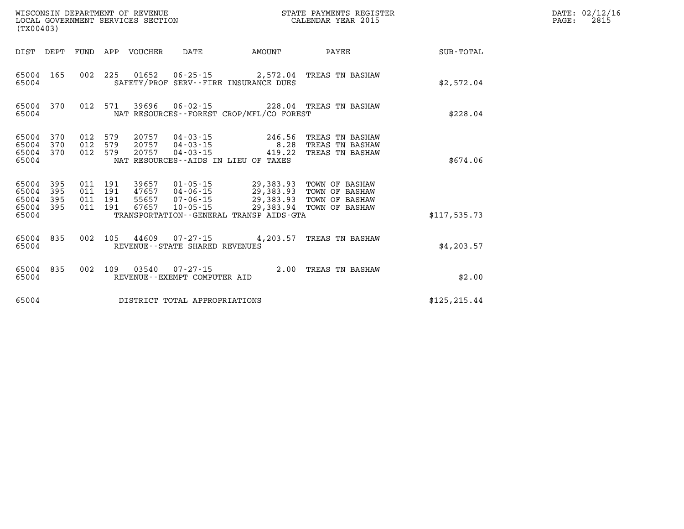| (TX00403)                                 |                          |                          |                          | WISCONSIN DEPARTMENT OF REVENUE<br>LOCAL GOVERNMENT SERVICES SECTION |                                                                      |                                                                                             | STATE PAYMENTS REGISTER<br>CALENDAR YEAR 2015                        |               |  |  |  |
|-------------------------------------------|--------------------------|--------------------------|--------------------------|----------------------------------------------------------------------|----------------------------------------------------------------------|---------------------------------------------------------------------------------------------|----------------------------------------------------------------------|---------------|--|--|--|
| DIST                                      | DEPT                     | FUND                     | APP                      | VOUCHER                                                              | DATE                                                                 | AMOUNT                                                                                      | PAYEE                                                                | SUB-TOTAL     |  |  |  |
| 65004<br>65004                            | 165                      | 002                      | 225                      | 01652                                                                | $06 - 25 - 15$                                                       | 2,572.04<br>SAFETY/PROF SERV--FIRE INSURANCE DUES                                           | TREAS TN BASHAW                                                      | \$2,572.04    |  |  |  |
| 65004<br>65004                            | 370                      | 012                      | 571                      | 39696                                                                |                                                                      | NAT RESOURCES - - FOREST CROP/MFL/CO FOREST                                                 | 06-02-15 228.04 TREAS TN BASHAW                                      | \$228.04      |  |  |  |
| 65004<br>65004<br>65004<br>65004          | 370<br>370<br>370        | 012<br>012<br>012        | 579<br>579<br>579        | 20757<br>20757<br>20757                                              | $04 - 03 - 15$<br>04-03-15<br>04-03-15                               | 246.56<br>8.28<br>419.22<br>NAT RESOURCES -- AIDS IN LIEU OF TAXES                          | TREAS TN BASHAW<br>TREAS TN BASHAW<br>TREAS TN BASHAW                | \$674.06      |  |  |  |
| 65004<br>65004<br>65004<br>65004<br>65004 | 395<br>395<br>395<br>395 | 011<br>011<br>011<br>011 | 191<br>191<br>191<br>191 | 39657<br>47657<br>55657<br>67657                                     | $01 - 05 - 15$<br>$04 - 06 - 15$<br>$07 - 06 - 15$<br>$10 - 05 - 15$ | 29,383.93<br>29,383.93<br>29,383.93<br>29,383.94<br>TRANSPORTATION--GENERAL TRANSP AIDS-GTA | TOWN OF BASHAW<br>TOWN OF BASHAW<br>TOWN OF BASHAW<br>TOWN OF BASHAW | \$117,535.73  |  |  |  |
| 65004<br>65004                            | 835                      | 002                      | 105                      | 44609                                                                | $07 - 27 - 15$<br>REVENUE - - STATE SHARED REVENUES                  | 4,203.57                                                                                    | TREAS TN BASHAW                                                      | \$4, 203.57   |  |  |  |
| 65004<br>65004                            | 835                      | 002                      | 109                      | 03540                                                                | $07 - 27 - 15$<br>REVENUE--EXEMPT COMPUTER AID                       | 2.00                                                                                        | TREAS TN BASHAW                                                      | \$2.00        |  |  |  |
| 65004                                     |                          |                          |                          |                                                                      | DISTRICT TOTAL APPROPRIATIONS                                        |                                                                                             |                                                                      | \$125, 215.44 |  |  |  |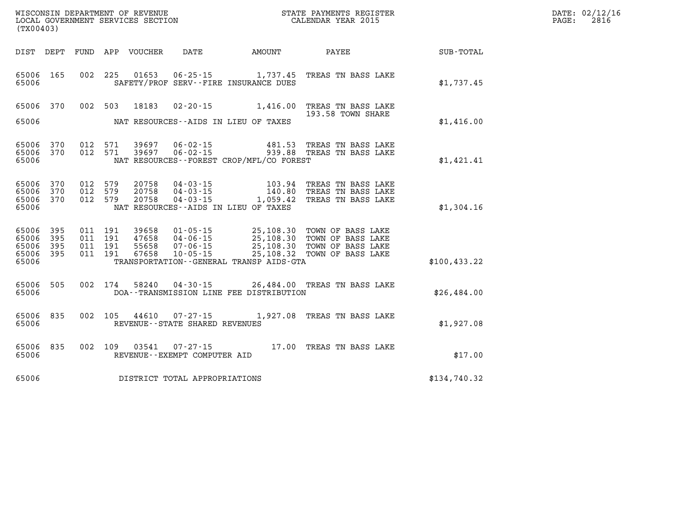| WISCONSIN DEPARTMENT OF REVENUE      | PAYMENTS REGISTER<br>3TATE | DATE: | 02/12/16 |
|--------------------------------------|----------------------------|-------|----------|
| GOVERNMENT SERVICES SECTION<br>LOCAL | CALENDAR YEAR 2015         | PAGE  | 2816     |

| (TX00403)                                             |     |  |                                     | $\begin{array}{ll}\n\text{LOCAL} & \text{GOVERIMENT} & \text{SERVICES} & \text{SECTION} \\ \text{CALENDAR} & \text{YEAR} & \text{2015}\n\end{array}$ |                                                                                                                                                            |              | PAGE: | 2816 |
|-------------------------------------------------------|-----|--|-------------------------------------|------------------------------------------------------------------------------------------------------------------------------------------------------|------------------------------------------------------------------------------------------------------------------------------------------------------------|--------------|-------|------|
|                                                       |     |  |                                     |                                                                                                                                                      | DIST DEPT FUND APP VOUCHER DATE AMOUNT PAYEE PAYER SUB-TOTAL                                                                                               |              |       |      |
| 65006 165<br>65006                                    |     |  |                                     | SAFETY/PROF SERV--FIRE INSURANCE DUES                                                                                                                | 002 225 01653 06-25-15 1,737.45 TREAS TN BASS LAKE                                                                                                         | \$1,737.45   |       |      |
| 65006 370<br>65006                                    |     |  |                                     | NAT RESOURCES--AIDS IN LIEU OF TAXES                                                                                                                 | 002 503 18183 02-20-15 1,416.00 TREAS TN BASS LAKE<br>193.58 TOWN SHARE                                                                                    | \$1,416.00   |       |      |
| 65006 370<br>65006 370<br>65006                       |     |  |                                     | NAT RESOURCES--FOREST CROP/MFL/CO FOREST                                                                                                             | 012 571 39697 06-02-15 481.53 TREAS TN BASS LAKE<br>012 571 39697 06-02-15 939.88 TREAS TN BASS LAKE                                                       | \$1,421.41   |       |      |
| 65006 370<br>65006 370<br>65006 370<br>65006          |     |  |                                     | NAT RESOURCES--AIDS IN LIEU OF TAXES                                                                                                                 | 012 579 20758 04-03-15 103.94 TREAS TN BASS LAKE<br>012 579 20758 04-03-15 140.80 TREAS TN BASS LAKE<br>012 579 20758 04-03-15 1,059.42 TREAS TN BASS LAKE | \$1,304.16   |       |      |
| 65006 395<br>65006 395<br>65006<br>65006 395<br>65006 | 395 |  |                                     | TRANSPORTATION--GENERAL TRANSP AIDS-GTA                                                                                                              |                                                                                                                                                            | \$100,433.22 |       |      |
| 65006 505<br>65006                                    |     |  |                                     | DOA--TRANSMISSION LINE FEE DISTRIBUTION                                                                                                              | 002 174 58240 04-30-15 26,484.00 TREAS TN BASS LAKE                                                                                                        | \$26,484.00  |       |      |
| 65006<br>65006                                        | 835 |  | REVENUE--STATE SHARED REVENUES      |                                                                                                                                                      | 002 105 44610 07-27-15 1,927.08 TREAS TN BASS LAKE                                                                                                         | \$1,927.08   |       |      |
| 65006 835<br>65006                                    |     |  | REVENUE--EXEMPT COMPUTER AID        |                                                                                                                                                      | 002 109 03541 07-27-15 17.00 TREAS TN BASS LAKE                                                                                                            | \$17.00      |       |      |
|                                                       |     |  | 65006 DISTRICT TOTAL APPROPRIATIONS |                                                                                                                                                      |                                                                                                                                                            | \$134,740.32 |       |      |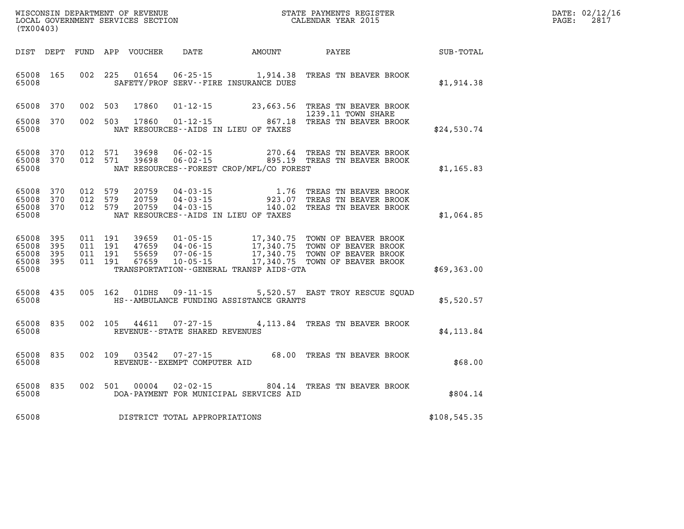| WISCONSIN DEPARTMENT OF REVENUE      | REGISTER<br>PAYMENTS<br>7ТАТЕ | DATE: | 02/12/16<br>$\pm 2/10$ |
|--------------------------------------|-------------------------------|-------|------------------------|
| LOCAL<br>GOVERNMENT SERVICES SECTION | CALENDAR YEAR 2015            | PAGE  | 2817                   |

| (TX00403)                                 |                          |                          |                          |                                  |                                                                      |                                                                                                  |                                                                                              |              |
|-------------------------------------------|--------------------------|--------------------------|--------------------------|----------------------------------|----------------------------------------------------------------------|--------------------------------------------------------------------------------------------------|----------------------------------------------------------------------------------------------|--------------|
| DIST                                      | DEPT                     | FUND                     | APP                      | VOUCHER                          | DATE                                                                 | <b>AMOUNT</b>                                                                                    | <b>PAYEE</b>                                                                                 | SUB-TOTAL    |
| 65008<br>65008                            | 165                      | 002                      | 225                      | 01654                            | $06 - 25 - 15$                                                       | 1,914.38<br>SAFETY/PROF SERV--FIRE INSURANCE DUES                                                | TREAS TN BEAVER BROOK                                                                        | \$1,914.38   |
| 65008                                     | 370                      | 002                      | 503                      | 17860                            | $01 - 12 - 15$                                                       | 23,663.56                                                                                        | TREAS TN BEAVER BROOK<br>1239.11 TOWN SHARE                                                  |              |
| 65008<br>65008                            | 370                      | 002                      | 503                      | 17860                            | $01 - 12 - 15$                                                       | 867.18<br>NAT RESOURCES--AIDS IN LIEU OF TAXES                                                   | TREAS TN BEAVER BROOK                                                                        | \$24,530.74  |
| 65008<br>65008<br>65008                   | 370<br>370               | 012<br>012               | 571<br>571               | 39698<br>39698                   | $06 - 02 - 15$<br>$06 - 02 - 15$                                     | 270.64<br>NAT RESOURCES - - FOREST CROP/MFL/CO FOREST                                            | TREAS TN BEAVER BROOK<br>895.19 TREAS TN BEAVER BROOK                                        | \$1,165.83   |
| 65008<br>65008<br>65008<br>65008          | 370<br>370<br>370        | 012<br>012<br>012        | 579<br>579<br>579        | 20759<br>20759<br>20759          | $04 - 03 - 15$<br>$04 - 03 - 15$<br>$04 - 03 - 15$                   | 1.76<br>923.07<br>140.02<br>NAT RESOURCES -- AIDS IN LIEU OF TAXES                               | TREAS TN BEAVER BROOK<br>TREAS TN BEAVER BROOK<br>TREAS TN BEAVER BROOK                      | \$1,064.85   |
| 65008<br>65008<br>65008<br>65008<br>65008 | 395<br>395<br>395<br>395 | 011<br>011<br>011<br>011 | 191<br>191<br>191<br>191 | 39659<br>47659<br>55659<br>67659 | $01 - 05 - 15$<br>$04 - 06 - 15$<br>$07 - 06 - 15$<br>$10 - 05 - 15$ | 17,340.75<br>17,340.75<br>17,340.75<br>17,340.75<br>TRANSPORTATION - - GENERAL TRANSP AIDS - GTA | TOWN OF BEAVER BROOK<br>TOWN OF BEAVER BROOK<br>TOWN OF BEAVER BROOK<br>TOWN OF BEAVER BROOK | \$69,363.00  |
| 65008<br>65008                            | 435                      | 005                      | 162                      | 01DHS                            | $09 - 11 - 15$                                                       | HS--AMBULANCE FUNDING ASSISTANCE GRANTS                                                          | 5,520.57 EAST TROY RESCUE SQUAD                                                              | \$5,520.57   |
| 65008<br>65008                            | 835                      | 002                      | 105                      | 44611                            | $07 - 27 - 15$<br>REVENUE - - STATE SHARED REVENUES                  | 4, 113.84                                                                                        | TREAS TN BEAVER BROOK                                                                        | \$4, 113.84  |
| 65008<br>65008                            | 835                      | 002                      | 109                      | 03542                            | $07 - 27 - 15$<br>REVENUE--EXEMPT COMPUTER AID                       | 68.00                                                                                            | TREAS TN BEAVER BROOK                                                                        | \$68.00      |
| 65008<br>65008                            | 835                      | 002                      | 501                      | 00004                            | $02 - 02 - 15$                                                       | 804.14<br>DOA-PAYMENT FOR MUNICIPAL SERVICES AID                                                 | TREAS TN BEAVER BROOK                                                                        | \$804.14     |
| 65008                                     |                          |                          |                          |                                  | DISTRICT TOTAL APPROPRIATIONS                                        |                                                                                                  |                                                                                              | \$108,545.35 |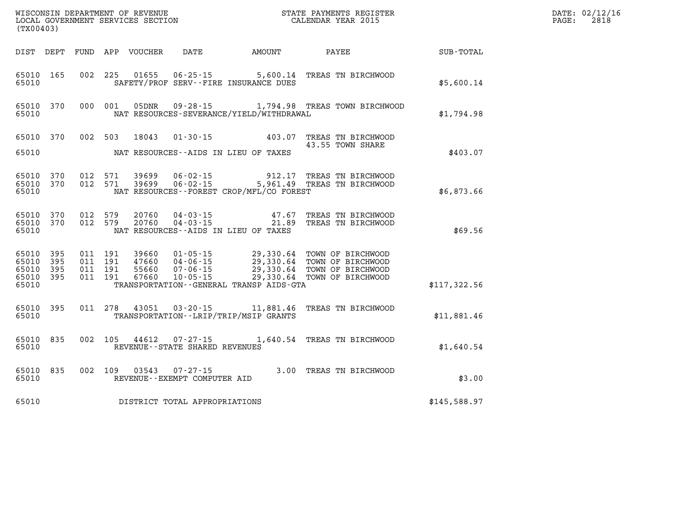| (TX00403)                                 |                          |         |                               | WISCONSIN DEPARTMENT OF REVENUE<br>LOCAL GOVERNMENT SERVICES SECTION |                                                                  |                                              | STATE PAYMENTS REGISTER<br>CALENDAR YEAR 2015                                                                                                                                                    |              | DATE: 02/12/16<br>$\mathtt{PAGE:}$<br>2818 |
|-------------------------------------------|--------------------------|---------|-------------------------------|----------------------------------------------------------------------|------------------------------------------------------------------|----------------------------------------------|--------------------------------------------------------------------------------------------------------------------------------------------------------------------------------------------------|--------------|--------------------------------------------|
|                                           |                          |         |                               |                                                                      |                                                                  | DIST DEPT FUND APP VOUCHER DATE AMOUNT PAYEE |                                                                                                                                                                                                  | SUB-TOTAL    |                                            |
| 65010                                     | 65010 165                |         |                               |                                                                      |                                                                  | SAFETY/PROF SERV--FIRE INSURANCE DUES        | 002 225 01655 06-25-15 5,600.14 TREAS TN BIRCHWOOD                                                                                                                                               | \$5,600.14   |                                            |
| 65010                                     | 65010 370                |         |                               |                                                                      |                                                                  | NAT RESOURCES-SEVERANCE/YIELD/WITHDRAWAL     | 000 001 05DNR 09-28-15 1,794.98 TREAS TOWN BIRCHWOOD                                                                                                                                             | \$1,794.98   |                                            |
| 65010                                     |                          |         |                               |                                                                      |                                                                  | NAT RESOURCES--AIDS IN LIEU OF TAXES         | 65010 370 002 503 18043 01-30-15 403.07 TREAS TN BIRCHWOOD<br>43.55 TOWN SHARE                                                                                                                   | \$403.07     |                                            |
| 65010                                     | 65010 370<br>65010 370   |         |                               |                                                                      |                                                                  | NAT RESOURCES--FOREST CROP/MFL/CO FOREST     | 012 571 39699 06-02-15 912.17 TREAS TN BIRCHWOOD<br>012 571 39699 06-02-15 5,961.49 TREAS TN BIRCHWOOD                                                                                           | \$6,873.66   |                                            |
| 65010                                     |                          |         |                               |                                                                      |                                                                  | NAT RESOURCES--AIDS IN LIEU OF TAXES         | 65010 370 012 579 20760 04-03-15 47.67 TREAS TN BIRCHWOOD<br>65010 370 012 579 20760 04-03-15 21.89 TREAS TN BIRCHWOOD                                                                           | \$69.56      |                                            |
| 65010<br>65010<br>65010<br>65010<br>65010 | 395<br>395<br>395<br>395 | 011 191 | 011 191<br>011 191<br>011 191 |                                                                      |                                                                  | TRANSPORTATION--GENERAL TRANSP AIDS-GTA      | 39660  01-05-15  29,330.64  TOWN OF BIRCHWOOD<br>47660  04-06-15  29,330.64  TOWN OF BIRCHWOOD<br>55660  07-06-15  29,330.64  TOWN OF BIRCHWOOD<br>67660  10-05-15  29,330.64  TOWN OF BIRCHWOOD | \$117,322.56 |                                            |
| 65010                                     | 65010 395                |         |                               |                                                                      |                                                                  | TRANSPORTATION - - LRIP/TRIP/MSIP GRANTS     | 011 278 43051 03-20-15 11,881.46 TREAS TN BIRCHWOOD                                                                                                                                              | \$11,881.46  |                                            |
| 65010                                     | 65010 835                |         |                               |                                                                      | REVENUE--STATE SHARED REVENUES                                   |                                              | 002 105 44612 07-27-15 1,640.54 TREAS TN BIRCHWOOD                                                                                                                                               | \$1,640.54   |                                            |
| 65010                                     |                          |         |                               |                                                                      | 65010 835 002 109 03543 07-27-15<br>REVENUE--EXEMPT COMPUTER AID |                                              | 3.00 TREAS TN BIRCHWOOD                                                                                                                                                                          | \$3.00       |                                            |
| 65010                                     |                          |         |                               |                                                                      | DISTRICT TOTAL APPROPRIATIONS                                    |                                              |                                                                                                                                                                                                  | \$145,588.97 |                                            |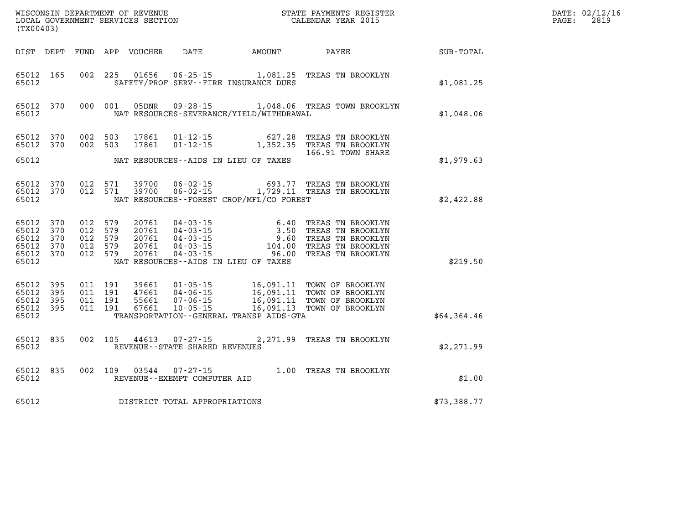| $\texttt{DATE}$ : | 02/12/16 |
|-------------------|----------|
| PAGE:             | 2819     |

| (TX00403)                                                      |            |  |  |                                |                                |                                              |                                                                                                                                                                                                                                                                                                                                                               |             | DATE: 02/12/1<br>PAGE:<br>2819 |
|----------------------------------------------------------------|------------|--|--|--------------------------------|--------------------------------|----------------------------------------------|---------------------------------------------------------------------------------------------------------------------------------------------------------------------------------------------------------------------------------------------------------------------------------------------------------------------------------------------------------------|-------------|--------------------------------|
|                                                                |            |  |  |                                |                                |                                              |                                                                                                                                                                                                                                                                                                                                                               |             |                                |
| 65012 165<br>65012                                             |            |  |  |                                |                                | SAFETY/PROF SERV--FIRE INSURANCE DUES        | 002 225 01656 06-25-15 1,081.25 TREAS TN BROOKLYN                                                                                                                                                                                                                                                                                                             | \$1,081.25  |                                |
| 65012 370<br>65012                                             |            |  |  |                                |                                | NAT RESOURCES-SEVERANCE/YIELD/WITHDRAWAL     | 000 001 05DNR 09-28-15 1,048.06 TREAS TOWN BROOKLYN                                                                                                                                                                                                                                                                                                           | \$1,048.06  |                                |
| 65012 370<br>65012 370                                         |            |  |  | 002 503 17861<br>002 503 17861 |                                |                                              | 01-12-15 627.28 TREAS TN BROOKLYN<br>01-12-15 1,352.35 TREAS TN BROOKLYN<br>166.91 TOWN SHARE                                                                                                                                                                                                                                                                 |             |                                |
| 65012                                                          |            |  |  |                                |                                | NAT RESOURCES--AIDS IN LIEU OF TAXES         | 166.91 TOWN SHARE                                                                                                                                                                                                                                                                                                                                             | \$1,979.63  |                                |
| 65012 370<br>65012 370<br>65012                                |            |  |  |                                |                                | NAT RESOURCES - FOREST CROP/MFL/CO FOREST    | 012 571 39700 06-02-15 693.77 TREAS TN BROOKLYN<br>012 571 39700 06-02-15 1,729.11 TREAS TN BROOKLYN                                                                                                                                                                                                                                                          | \$2,422.88  |                                |
| 65012 370<br>65012<br>65012<br>65012 370<br>65012 370<br>65012 | 370<br>370 |  |  |                                |                                | NAT RESOURCES--AIDS IN LIEU OF TAXES         | $\begin{array}{cccc} 012 & 579 & 20761 & 04\cdot 03\cdot 15 & 6\cdot 40 & \text{TREAS TN BROOKLYN} \\ 012 & 579 & 20761 & 04\cdot 03\cdot 15 & 3\cdot 50 & \text{TREAS TN BROOKLYN} \\ 012 & 579 & 20761 & 04\cdot 03\cdot 15 & 9\cdot 60 & \text{TREAS TN BROOKLYN} \\ 012 & 579 & 20761 & 04\cdot 03\cdot 15 & 104\cdot 00 & \text{TREAS TN BROOKLYN} \\ 0$ | \$219.50    |                                |
| 65012 395<br>65012<br>65012 395<br>65012 395<br>65012          | 395        |  |  |                                |                                | TRANSPORTATION - - GENERAL TRANSP AIDS - GTA |                                                                                                                                                                                                                                                                                                                                                               | \$64,364.46 |                                |
| 65012 835<br>65012                                             |            |  |  | 002 105 44613                  | REVENUE--STATE SHARED REVENUES |                                              | 07-27-15 2,271.99 TREAS TN BROOKLYN                                                                                                                                                                                                                                                                                                                           | \$2,271.99  |                                |
| 65012 835<br>65012                                             |            |  |  | 002 109 03544                  | REVENUE--EXEMPT COMPUTER AID   |                                              | 07-27-15 $1.00$ TREAS TN BROOKLYN                                                                                                                                                                                                                                                                                                                             | \$1.00      |                                |
| 65012                                                          |            |  |  |                                | DISTRICT TOTAL APPROPRIATIONS  |                                              |                                                                                                                                                                                                                                                                                                                                                               | \$73,388.77 |                                |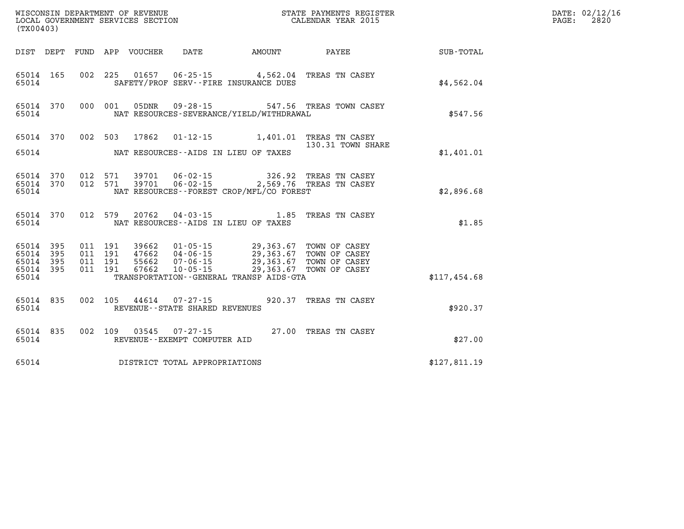| (TX00403)                                                 |           |                                          |                                 |                                   |                                                                                                                                                                                                                          |                                                                                                                    | DATE: 02/12/16<br>PAGE:<br>2820 |  |
|-----------------------------------------------------------|-----------|------------------------------------------|---------------------------------|-----------------------------------|--------------------------------------------------------------------------------------------------------------------------------------------------------------------------------------------------------------------------|--------------------------------------------------------------------------------------------------------------------|---------------------------------|--|
|                                                           |           |                                          | DIST DEPT FUND APP VOUCHER DATE |                                   |                                                                                                                                                                                                                          | AMOUNT PAYEE                                                                                                       | SUB-TOTAL                       |  |
| 65014                                                     | 65014 165 |                                          |                                 |                                   | SAFETY/PROF SERV--FIRE INSURANCE DUES                                                                                                                                                                                    | 002 225 01657 06-25-15 4,562.04 TREAS TN CASEY                                                                     | \$4,562.04                      |  |
| 65014                                                     | 65014 370 |                                          |                                 |                                   | NAT RESOURCES-SEVERANCE/YIELD/WITHDRAWAL                                                                                                                                                                                 | 000 001 05DNR 09-28-15 547.56 TREAS TOWN CASEY                                                                     | \$547.56                        |  |
| 65014                                                     |           |                                          | 65014 370 002 503 17862         |                                   | NAT RESOURCES--AIDS IN LIEU OF TAXES                                                                                                                                                                                     | 01-12-15   1,401.01 TREAS TN CASEY<br>130.31 TOWN SHARE                                                            | \$1,401.01                      |  |
| 65014                                                     |           |                                          |                                 |                                   | NAT RESOURCES - - FOREST CROP/MFL/CO FOREST                                                                                                                                                                              | 65014 370 012 571 39701 06-02-15 326.92 TREAS TN CASEY<br>65014 370 012 571 39701 06-02-15 2,569.76 TREAS TN CASEY | \$2,896.68                      |  |
| 65014                                                     | 65014 370 |                                          |                                 |                                   | NAT RESOURCES -- AIDS IN LIEU OF TAXES                                                                                                                                                                                   | 012 579 20762 04-03-15 1.85 TREAS TN CASEY                                                                         | \$1.85                          |  |
| 65014 395<br>65014 395<br>65014 395<br>65014 395<br>65014 |           | 011 191<br>011 191<br>011 191<br>011 191 |                                 |                                   | 39662  01-05-15  29,363.67  TOWN OF CASEY<br>47662  04-06-15  29,363.67  TOWN OF CASEY<br>55662  07-06-15  29,363.67  TOWN OF CASEY<br>67662 10-05-15 29,363.67 TOWN OF CASEY<br>TRANSPORTATION--GENERAL TRANSP AIDS-GTA |                                                                                                                    | \$117.454.68                    |  |
| 65014                                                     | 65014 835 |                                          |                                 | REVENUE - - STATE SHARED REVENUES |                                                                                                                                                                                                                          | 002 105 44614 07-27-15 920.37 TREAS TN CASEY                                                                       | \$920.37                        |  |
| 65014                                                     | 65014 835 |                                          |                                 | REVENUE--EXEMPT COMPUTER AID      |                                                                                                                                                                                                                          | 002 109 03545 07-27-15 27.00 TREAS TN CASEY                                                                        | \$27.00                         |  |
| 65014                                                     |           |                                          |                                 | DISTRICT TOTAL APPROPRIATIONS     |                                                                                                                                                                                                                          |                                                                                                                    | \$127,811.19                    |  |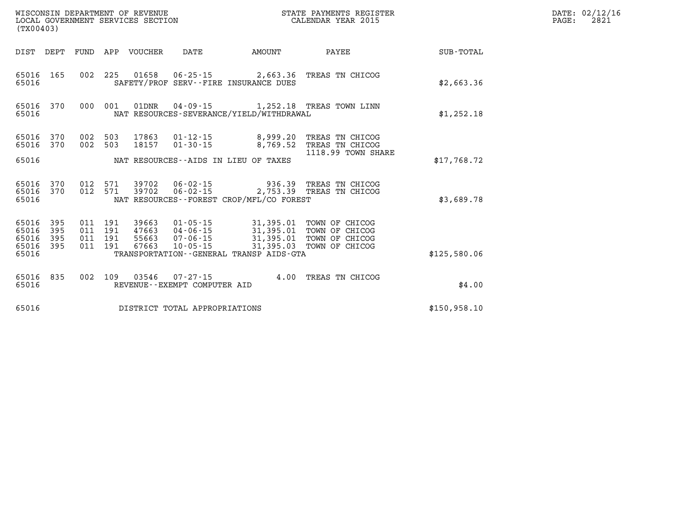| (TX00403)                                     |                        |                    |                    |                            |                               |                                             | STATE PAYMENTS REGISTER                                                                                                                                                              |              | DATE: 02/12/16<br>2821<br>$\mathtt{PAGE}$ : |
|-----------------------------------------------|------------------------|--------------------|--------------------|----------------------------|-------------------------------|---------------------------------------------|--------------------------------------------------------------------------------------------------------------------------------------------------------------------------------------|--------------|---------------------------------------------|
|                                               |                        |                    |                    | DIST DEPT FUND APP VOUCHER |                               | DATE AMOUNT                                 | <b>PAYEE</b>                                                                                                                                                                         | SUB-TOTAL    |                                             |
| 65016                                         | 65016 165              |                    |                    |                            |                               | SAFETY/PROF SERV--FIRE INSURANCE DUES       | 002 225 01658 06-25-15 2,663.36 TREAS TN CHICOG                                                                                                                                      | \$2,663.36   |                                             |
| 65016 370<br>65016                            |                        | 000                | 001                | 01DNR                      |                               | NAT RESOURCES-SEVERANCE/YIELD/WITHDRAWAL    | 04-09-15 1,252.18 TREAS TOWN LINN                                                                                                                                                    | \$1,252.18   |                                             |
| 65016 370                                     | 65016 370              | 002 503<br>002     | 503                |                            |                               |                                             | 17863  01-12-15  8,999.20 TREAS TN CHICOG<br>18157  01-30-15  8,769.52 TREAS TN CHICOG                                                                                               |              |                                             |
| 65016                                         |                        |                    |                    |                            |                               | NAT RESOURCES--AIDS IN LIEU OF TAXES        | 1118.99 TOWN SHARE                                                                                                                                                                   | \$17,768.72  |                                             |
| 65016                                         | 65016 370<br>65016 370 |                    | 012 571            | 012 571 39702<br>39702     |                               | NAT RESOURCES - - FOREST CROP/MFL/CO FOREST | 06-02-15 936.39 TREAS TN CHICOG<br>06-02-15 2,753.39 TREAS TN CHICOG                                                                                                                 | \$3,689.78   |                                             |
| 65016<br>65016<br>65016<br>65016 395<br>65016 | 395<br>395<br>395      | 011 191<br>011 191 | 011 191<br>011 191 | 47663                      |                               | TRANSPORTATION--GENERAL TRANSP AIDS-GTA     | 39663  01-05-15  31,395.01  TOWN OF CHICOG<br>47663  04-06-15  31,395.01  TOWN OF CHICOG<br>55663  07-06-15  31,395.01  TOWN OF CHICOG<br>67663  10-05-15  31,395.03  TOWN OF CHICOG | \$125,580.06 |                                             |
| 65016 835<br>65016                            |                        |                    | 002 109            | 03546                      | REVENUE--EXEMPT COMPUTER AID  |                                             | 07-27-15 4.00 TREAS TN CHICOG                                                                                                                                                        | \$4.00       |                                             |
| 65016                                         |                        |                    |                    |                            | DISTRICT TOTAL APPROPRIATIONS |                                             |                                                                                                                                                                                      | \$150,958.10 |                                             |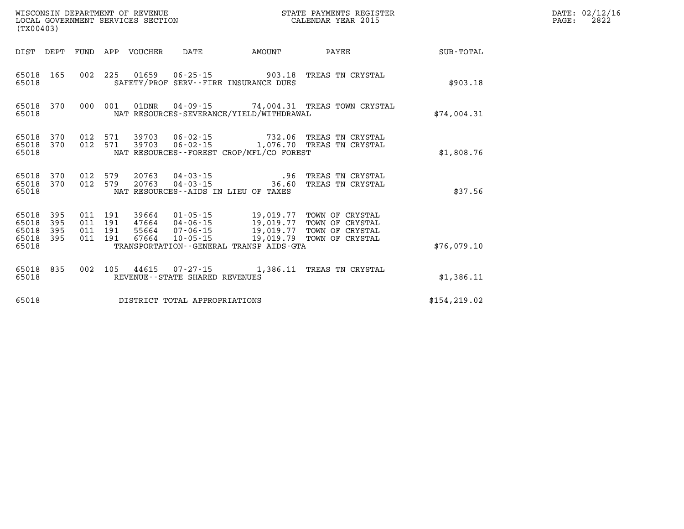| (TX00403)                                 |                          |                          |                          | WISCONSIN DEPARTMENT OF REVENUE<br>LOCAL GOVERNMENT SERVICES SECTION |                                                                                                                     |                                     | STATE PAYMENTS REGISTER<br>CALENDAR YEAR 2015                            |               |  |  |  |
|-------------------------------------------|--------------------------|--------------------------|--------------------------|----------------------------------------------------------------------|---------------------------------------------------------------------------------------------------------------------|-------------------------------------|--------------------------------------------------------------------------|---------------|--|--|--|
| DIST                                      | DEPT                     | FUND                     | APP                      | VOUCHER                                                              | DATE                                                                                                                | AMOUNT                              | PAYEE                                                                    | SUB-TOTAL     |  |  |  |
| 65018<br>65018                            | 165                      | 002                      | 225                      |                                                                      | 01659   06-25-15   903.18<br>SAFETY/PROF SERV--FIRE INSURANCE DUES                                                  |                                     | TREAS TN CRYSTAL                                                         | \$903.18      |  |  |  |
| 65018<br>65018                            | 370                      | 000                      | 001                      | 01DNR                                                                | NAT RESOURCES-SEVERANCE/YIELD/WITHDRAWAL                                                                            |                                     | 04-09-15 74,004.31 TREAS TOWN CRYSTAL                                    | \$74,004.31   |  |  |  |
| 65018<br>65018<br>65018                   | 370<br>370               | 012<br>012               | 571<br>571               | 39703<br>39703                                                       | $06 - 02 - 15$<br>NAT RESOURCES--FOREST CROP/MFL/CO FOREST                                                          |                                     | 732.06 TREAS TN CRYSTAL<br>06-02-15 1,076.70 TREAS TN CRYSTAL            | \$1,808.76    |  |  |  |
| 65018<br>65018<br>65018                   | 370<br>370               | 012<br>012               | 579<br>579               | 20763<br>20763                                                       | 04-03-15<br>$04 - 03 - 15$<br>NAT RESOURCES--AIDS IN LIEU OF TAXES                                                  | .96<br>36.60                        | TREAS TN CRYSTAL<br>TREAS TN CRYSTAL                                     | \$37.56       |  |  |  |
| 65018<br>65018<br>65018<br>65018<br>65018 | 395<br>395<br>395<br>395 | 011<br>011<br>011<br>011 | 191<br>191<br>191<br>191 | 39664<br>55664<br>67664                                              | $01 - 05 - 15$<br>47664 04-06-15 19,019.77<br>$07 - 06 - 15$<br>10-05-15<br>TRANSPORTATION--GENERAL TRANSP AIDS-GTA | 19,019.77<br>19,019.77<br>19,019.79 | TOWN OF CRYSTAL<br>TOWN OF CRYSTAL<br>TOWN OF CRYSTAL<br>TOWN OF CRYSTAL | \$76,079.10   |  |  |  |
| 65018<br>65018                            | 835                      | 002                      | 105                      | 44615                                                                | $07 - 27 - 15$<br>REVENUE - - STATE SHARED REVENUES                                                                 |                                     | 1,386.11 TREAS TN CRYSTAL                                                | \$1,386.11    |  |  |  |
| 65018                                     |                          |                          |                          |                                                                      | DISTRICT TOTAL APPROPRIATIONS                                                                                       |                                     |                                                                          | \$154, 219.02 |  |  |  |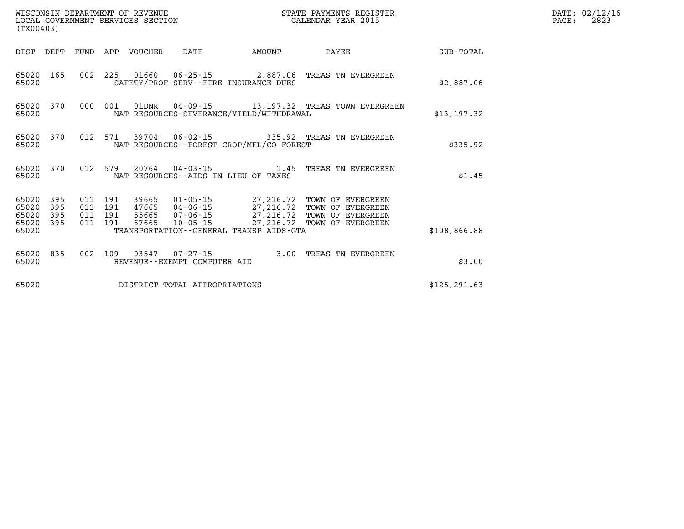| (TX00403)                                 |                          |                          |                          | WISCONSIN DEPARTMENT OF REVENUE<br>LOCAL GOVERNMENT SERVICES SECTION |                                                    |                                                                   | STATE PAYMENTS REGISTER<br>CALENDAR YEAR 2015                                                         |               |
|-------------------------------------------|--------------------------|--------------------------|--------------------------|----------------------------------------------------------------------|----------------------------------------------------|-------------------------------------------------------------------|-------------------------------------------------------------------------------------------------------|---------------|
| DIST                                      | DEPT                     | FUND                     | APP                      | VOUCHER                                                              | DATE                                               | AMOUNT                                                            | PAYEE                                                                                                 | SUB-TOTAL     |
| 65020<br>65020                            | 165                      | 002                      | 225                      |                                                                      |                                                    | SAFETY/PROF SERV--FIRE INSURANCE DUES                             | 01660  06-25-15  2,887.06  TREAS TN EVERGREEN                                                         | \$2,887.06    |
| 65020<br>65020                            | 370                      | 000                      | 001                      | 01DNR                                                                |                                                    | NAT RESOURCES-SEVERANCE/YIELD/WITHDRAWAL                          | 04-09-15 13,197.32 TREAS TOWN EVERGREEN                                                               | \$13,197.32   |
| 65020<br>65020                            | 370                      | 012                      | 571                      | 39704                                                                |                                                    | NAT RESOURCES - - FOREST CROP/MFL/CO FOREST                       | 06-02-15 335.92 TREAS TN EVERGREEN                                                                    | \$335.92      |
| 65020<br>65020                            | 370                      | 012                      | 579                      | 20764                                                                | $04 - 03 - 15$                                     | 1.45<br>NAT RESOURCES -- AIDS IN LIEU OF TAXES                    | TREAS TN EVERGREEN                                                                                    | \$1.45        |
| 65020<br>65020<br>65020<br>65020<br>65020 | 395<br>395<br>395<br>395 | 011<br>011<br>011<br>011 | 191<br>191<br>191<br>191 | 39665<br>47665<br>55665<br>67665                                     | $01 - 05 - 15$<br>04-06-15<br>07-06-15<br>10-05-15 | 27,216.72<br>27,216.72<br>TRANSPORTATION--GENERAL TRANSP AIDS-GTA | 27, 216.72 TOWN OF EVERGREEN<br>27,216.72 TOWN OF EVERGREEN<br>TOWN OF EVERGREEN<br>TOWN OF EVERGREEN | \$108,866.88  |
| 65020<br>65020                            | 835                      | 002                      | 109                      | 03547                                                                | $07 - 27 - 15$<br>REVENUE - - EXEMPT COMPUTER AID  | 3.00                                                              | TREAS TN EVERGREEN                                                                                    | \$3.00        |
| 65020                                     |                          |                          |                          |                                                                      | DISTRICT TOTAL APPROPRIATIONS                      |                                                                   |                                                                                                       | \$125, 291.63 |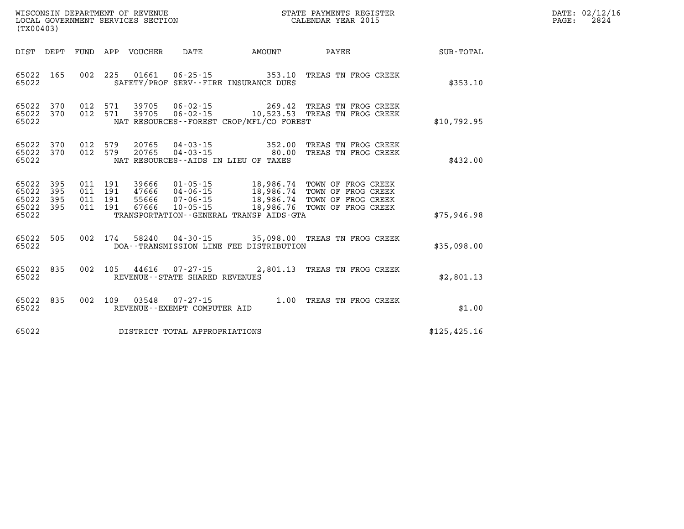| (TX00403)                                 |                          |                                  |            | WISCONSIN DEPARTMENT OF REVENUE<br>LOCAL GOVERNMENT SERVICES SECTION |                                                                                                                                                                                     |                                                                                             | STATE PAYMENTS REGISTER<br>CALENDAR YEAR 2015                                        |             | DATE: 02/12/16<br>PAGE:<br>2824 |
|-------------------------------------------|--------------------------|----------------------------------|------------|----------------------------------------------------------------------|-------------------------------------------------------------------------------------------------------------------------------------------------------------------------------------|---------------------------------------------------------------------------------------------|--------------------------------------------------------------------------------------|-------------|---------------------------------|
| DIST                                      | DEPT FUND                |                                  | APP        | VOUCHER                                                              | DATE                                                                                                                                                                                | AMOUNT                                                                                      | PAYEE                                                                                | SUB-TOTAL   |                                 |
| 65022                                     | 65022 165                | 002 225                          |            |                                                                      |                                                                                                                                                                                     | 01661    06-25-15    353.10<br>SAFETY/PROF SERV--FIRE INSURANCE DUES                        | TREAS TN FROG CREEK                                                                  | \$353.10    |                                 |
| 65022<br>65022 370<br>65022               | 370                      | 012<br>012 571                   | 571        | 39705<br>39705                                                       | 06-02-15                                                                                                                                                                            | 269.42<br>NAT RESOURCES--FOREST CROP/MFL/CO FOREST                                          | TREAS TN FROG CREEK<br>06-02-15 10,523.53 TREAS TN FROG CREEK                        | \$10,792.95 |                                 |
| 65022<br>65022<br>65022                   | 370<br>370               | 012<br>012                       | 579<br>579 | 20765<br>20765                                                       |                                                                                                                                                                                     | $04 - 03 - 15$ 352.00<br>$04 - 03 - 15$ 80.00<br>NAT RESOURCES -- AIDS IN LIEU OF TAXES     | TREAS TN FROG CREEK<br>TREAS TN FROG CREEK                                           | \$432.00    |                                 |
| 65022<br>65022<br>65022<br>65022<br>65022 | 395<br>395<br>395<br>395 | 011 191<br>011 191<br>011<br>011 | 191<br>191 | 39666<br>47666<br>55666<br>67666                                     | $01 - 05 - 15$<br>04-06-15<br>07-06-15<br>10-05-15                                                                                                                                  | 18,986.74<br>18,986.74<br>18,986.74<br>18,986.76<br>TRANSPORTATION--GENERAL TRANSP AIDS-GTA | TOWN OF FROG CREEK<br>TOWN OF FROG CREEK<br>TOWN OF FROG CREEK<br>TOWN OF FROG CREEK | \$75,946.98 |                                 |
|                                           |                          |                                  |            |                                                                      | $C E \cap \Omega$ $D E \cap \Omega$ $D \cap \Omega$ $D \cap \Omega$ $D \cap \Omega$ $D \cap \Omega$ $D \cap \Omega$ $D \cap \Omega$ $D \cap \Omega$ $D \cap \Omega$ $D \cap \Omega$ |                                                                                             | 25 000 00 mpric mi rpoc cprrv                                                        |             |                                 |

| 65022 505 | 002 174 | 58240 | 04-30-15 |                                         | 35,098.00 TREAS TN FROG CREEK |             |
|-----------|---------|-------|----------|-----------------------------------------|-------------------------------|-------------|
| 65022     |         |       |          | DOA--TRANSMISSION LINE FEE DISTRIBUTION |                               | \$35,098.00 |

| 65022 835 |  |  | 002 105 44616 07-27-15         |  | 2,801.13 TREAS TN FROG CREEK |            |
|-----------|--|--|--------------------------------|--|------------------------------|------------|
| 65022     |  |  | REVENUE--STATE SHARED REVENUES |  |                              | \$2,801.13 |

|       |  |  | 65022 835 002 109 03548 07-27-15 |  | 1.00 TREAS TN FROG CREEK |  |
|-------|--|--|----------------------------------|--|--------------------------|--|
| 65022 |  |  | REVENUE--EXEMPT COMPUTER AID     |  |                          |  |
|       |  |  |                                  |  |                          |  |

**65022 DISTRICT TOTAL APPROPRIATIONS \$125,425.16**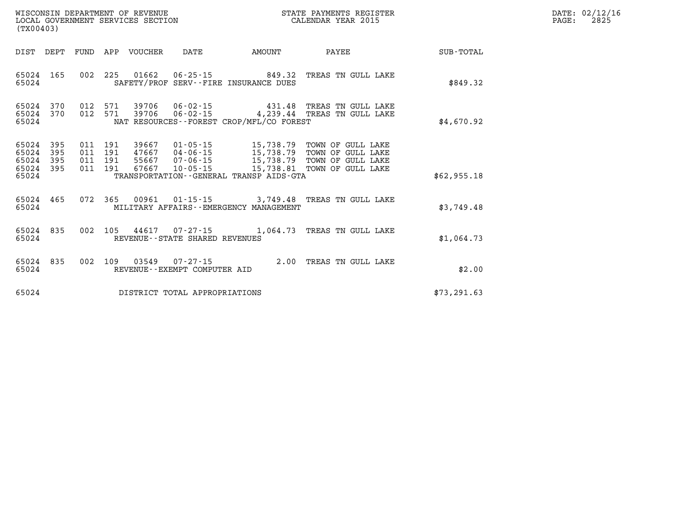| DATE: | 02/12/16 |
|-------|----------|
| PAGE: | 2825     |

| WISCONSIN DEPARTMENT OF REVENUE<br>LOCAL GOVERNMENT SERVICES SECTION<br>(TX00403)          |                                                                                                                                                                                     |                       | STATE PAYMENTS REGISTER<br>CALENDAR YEAR 2015                                                                  |                  |
|--------------------------------------------------------------------------------------------|-------------------------------------------------------------------------------------------------------------------------------------------------------------------------------------|-----------------------|----------------------------------------------------------------------------------------------------------------|------------------|
| DIST<br>FUND<br>DEPT                                                                       | APP<br>DATE<br>VOUCHER                                                                                                                                                              | AMOUNT                | PAYEE                                                                                                          | <b>SUB-TOTAL</b> |
| 165<br>002<br>65024<br>65024                                                               | 225<br>01662<br>SAFETY/PROF SERV--FIRE INSURANCE DUES                                                                                                                               | $06 - 25 - 15$ 849.32 | TREAS TN GULL LAKE                                                                                             | \$849.32         |
| 65024<br>370<br>012<br>370<br>65024<br>65024                                               | 012 571<br>39706<br>$06 - 02 - 15$<br>571<br>39706<br>NAT RESOURCES--FOREST CROP/MFL/CO FOREST                                                                                      |                       | 431.48 TREAS TN GULL LAKE<br>06-02-15 4,239.44 TREAS TN GULL LAKE                                              | \$4,670.92       |
| 65024<br>395<br>395<br>65024<br>011<br>395<br>65024<br>011<br>395<br>65024<br>011<br>65024 | 39667<br>$01 - 05 - 15$<br>011 191<br>191<br>47667<br>$04 - 06 - 15$<br>191<br>55667<br>$07 - 06 - 15$<br>191<br>67667<br>$10 - 05 - 15$<br>TRANSPORTATION--GENERAL TRANSP AIDS-GTA | 15,738.81             | 15,738.79 TOWN OF GULL LAKE<br>15,738.79 TOWN OF GULL LAKE<br>15,738.79 TOWN OF GULL LAKE<br>TOWN OF GULL LAKE | \$62,955.18      |
| 072<br>465<br>65024<br>65024                                                               | 365<br>00961<br>MILITARY AFFAIRS - - EMERGENCY MANAGEMENT                                                                                                                           |                       | 01-15-15 3,749.48 TREAS TN GULL LAKE                                                                           | \$3,749.48       |
| 835<br>002<br>65024<br>65024                                                               | 105<br>44617<br>$07 - 27 - 15$<br>REVENUE--STATE SHARED REVENUES                                                                                                                    |                       | 1,064.73 TREAS TN GULL LAKE                                                                                    | \$1,064.73       |
| 65024<br>835<br>002<br>65024                                                               | 109<br>03549<br>$07 - 27 - 15$<br>REVENUE--EXEMPT COMPUTER AID                                                                                                                      | 2.00                  | TREAS TN GULL LAKE                                                                                             | \$2.00           |
| 65024                                                                                      | DISTRICT TOTAL APPROPRIATIONS                                                                                                                                                       |                       |                                                                                                                | \$73, 291.63     |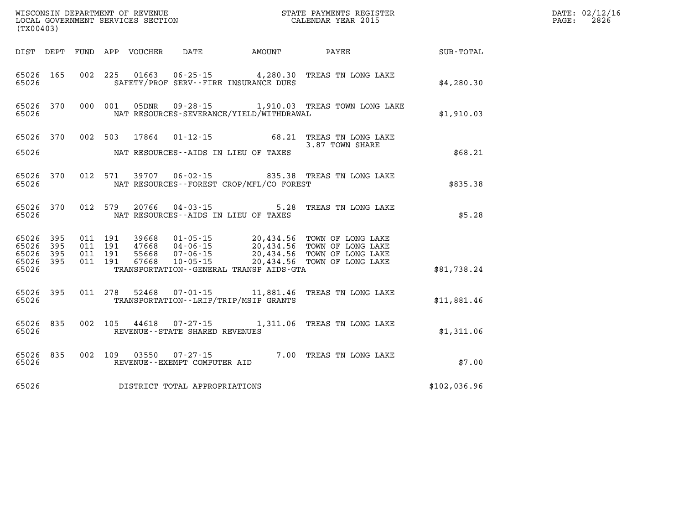| WISCONSIN DEPARTMENT OF REVENUE   | STATE PAYMENTS REGISTER |       | DATE: 02/12/16 |
|-----------------------------------|-------------------------|-------|----------------|
| LOCAL GOVERNMENT SERVICES SECTION | CALENDAR YEAR 2015      | PAGE: | 2826           |
| .                                 |                         |       |                |

| (TX00403)                                                 |     |         | LOCAL GOVERNMENT SERVICES SECTION |                                     |                                          | CALENDAR YEAR 2015                                                                                                                                                                                                                                                                                    |              | PAGE: | 2826 |
|-----------------------------------------------------------|-----|---------|-----------------------------------|-------------------------------------|------------------------------------------|-------------------------------------------------------------------------------------------------------------------------------------------------------------------------------------------------------------------------------------------------------------------------------------------------------|--------------|-------|------|
|                                                           |     |         |                                   |                                     |                                          | DIST DEPT FUND APP VOUCHER DATE AMOUNT PAYEE PAYEE SUB-TOTAL                                                                                                                                                                                                                                          |              |       |      |
| 65026<br>65026                                            | 165 |         |                                   |                                     | SAFETY/PROF SERV--FIRE INSURANCE DUES    | 002 225 01663 06-25-15 4,280.30 TREAS TN LONG LAKE                                                                                                                                                                                                                                                    | \$4,280.30   |       |      |
| 65026 370<br>65026                                        |     |         |                                   |                                     | NAT RESOURCES-SEVERANCE/YIELD/WITHDRAWAL | 000 001 05DNR 09-28-15 1,910.03 TREAS TOWN LONG LAKE                                                                                                                                                                                                                                                  | \$1,910.03   |       |      |
| 65026 370                                                 |     |         |                                   |                                     |                                          | 002 503 17864 01-12-15 68.21 TREAS TN LONG LAKE<br>3.87 TOWN SHARE                                                                                                                                                                                                                                    | \$68.21      |       |      |
| 65026<br>65026                                            | 370 |         |                                   |                                     | NAT RESOURCES--FOREST CROP/MFL/CO FOREST | 012 571 39707 06-02-15 835.38 TREAS TN LONG LAKE                                                                                                                                                                                                                                                      | \$835.38     |       |      |
| 65026 370<br>65026                                        |     |         |                                   |                                     | NAT RESOURCES--AIDS IN LIEU OF TAXES     | 012 579 20766 04-03-15 5.28 TREAS TN LONG LAKE                                                                                                                                                                                                                                                        | \$5.28       |       |      |
| 65026 395<br>65026 395<br>65026 395<br>65026 395<br>65026 |     |         |                                   |                                     | TRANSPORTATION--GENERAL TRANSP AIDS-GTA  | $\begin{tabular}{cccc} 011 & 191 & 39668 & 01-05-15 & 20,434.56 & TOWN OF LONG LAKE \\ 011 & 191 & 47668 & 04-06-15 & 20,434.56 & TOWN OF LONG LAKE \\ 011 & 191 & 55668 & 07-06-15 & 20,434.56 & TOWN OF LONG LAKE \\ 011 & 191 & 67668 & 10-05-15 & 20,434.56 & TOWN OF LONG LAKE \\ \end{tabular}$ | \$81,738.24  |       |      |
| 65026 395<br>65026                                        |     |         |                                   |                                     | TRANSPORTATION - - LRIP/TRIP/MSIP GRANTS | 011  278  52468  07-01-15  11,881.46  TREAS TN LONG LAKE                                                                                                                                                                                                                                              | \$11,881.46  |       |      |
| 65026 835<br>65026                                        |     |         |                                   | REVENUE--STATE SHARED REVENUES      |                                          | 002 105 44618 07-27-15 1,311.06 TREAS TN LONG LAKE                                                                                                                                                                                                                                                    | \$1,311.06   |       |      |
| 65026 835<br>65026                                        |     | 002 109 |                                   | REVENUE--EXEMPT COMPUTER AID        |                                          | 03550  07-27-15  7.00 TREAS TN LONG LAKE                                                                                                                                                                                                                                                              | \$7.00       |       |      |
|                                                           |     |         |                                   | 65026 DISTRICT TOTAL APPROPRIATIONS |                                          |                                                                                                                                                                                                                                                                                                       | \$102,036.96 |       |      |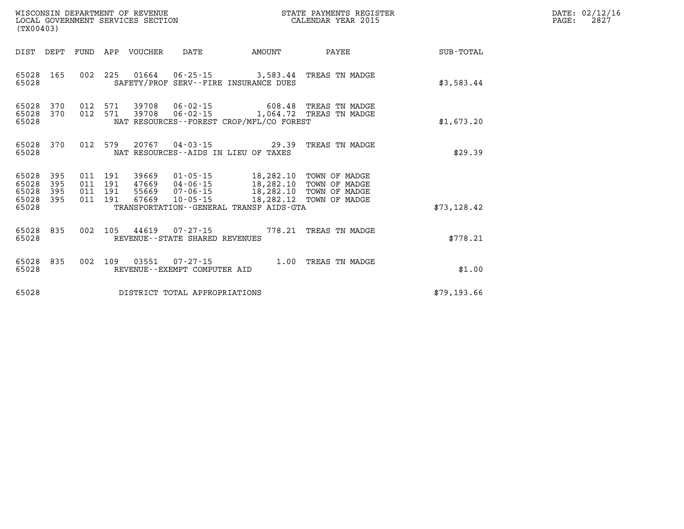| (TX00403)                                         |            |                                          | WISCONSIN DEPARTMENT OF REVENUE | LOCAL GOVERNMENT SERVICES SECTION                           |                                                                                                                                                                                                                            | STATE PAYMENTS REGISTER<br>CALENDAR YEAR 2015                                        |             | DATE: 02/12/16<br>2827<br>$\mathtt{PAGE:}$ |
|---------------------------------------------------|------------|------------------------------------------|---------------------------------|-------------------------------------------------------------|----------------------------------------------------------------------------------------------------------------------------------------------------------------------------------------------------------------------------|--------------------------------------------------------------------------------------|-------------|--------------------------------------------|
|                                                   |            |                                          | DIST DEPT FUND APP VOUCHER DATE |                                                             | AMOUNT                                                                                                                                                                                                                     | PAYEE                                                                                | SUB-TOTAL   |                                            |
| 65028 165<br>65028                                |            |                                          |                                 |                                                             | SAFETY/PROF SERV--FIRE INSURANCE DUES                                                                                                                                                                                      | 002 225 01664 06-25-15 3,583.44 TREAS TN MADGE                                       | \$3,583.44  |                                            |
| 65028 370<br>65028 370<br>65028                   |            | 012 571<br>012 571                       |                                 |                                                             | NAT RESOURCES - - FOREST CROP/MFL/CO FOREST                                                                                                                                                                                | 39708  06-02-15  608.48  TREAS TN MADGE<br>39708  06-02-15  1,064.72  TREAS TN MADGE | \$1,673.20  |                                            |
| 65028 370<br>65028                                |            |                                          |                                 |                                                             | $012$ 579 20767 04-03-15 29.39<br>NAT RESOURCES--AIDS IN LIEU OF TAXES                                                                                                                                                     | TREAS TN MADGE                                                                       | \$29.39     |                                            |
| 65028 395<br>65028<br>65028<br>65028 395<br>65028 | 395<br>395 | 011 191<br>011 191<br>011 191<br>011 191 |                                 |                                                             | 39669  01-05-15   18,282.10   TOWN OF MADGE<br>47669 04-06-15 18,282.10 TOWN OF MADGE<br>55669  07-06-15  18,282.10  TOWN OF MADGE<br>67669  10-05-15  18,282.12  TOWN OF MADGE<br>TRANSPORTATION--GENERAL TRANSP AIDS-GTA |                                                                                      | \$73,128.42 |                                            |
| 65028 835<br>65028                                |            |                                          |                                 | 002 105 44619 07-27-15<br>REVENUE - - STATE SHARED REVENUES |                                                                                                                                                                                                                            | 778.21 TREAS TN MADGE                                                                | \$778.21    |                                            |
| 65028 835<br>65028                                |            | 002 109                                  |                                 | 03551 07-27-15<br>REVENUE--EXEMPT COMPUTER AID              |                                                                                                                                                                                                                            | 1.00 TREAS TN MADGE                                                                  | \$1.00      |                                            |
| 65028                                             |            |                                          |                                 | DISTRICT TOTAL APPROPRIATIONS                               |                                                                                                                                                                                                                            |                                                                                      | \$79,193.66 |                                            |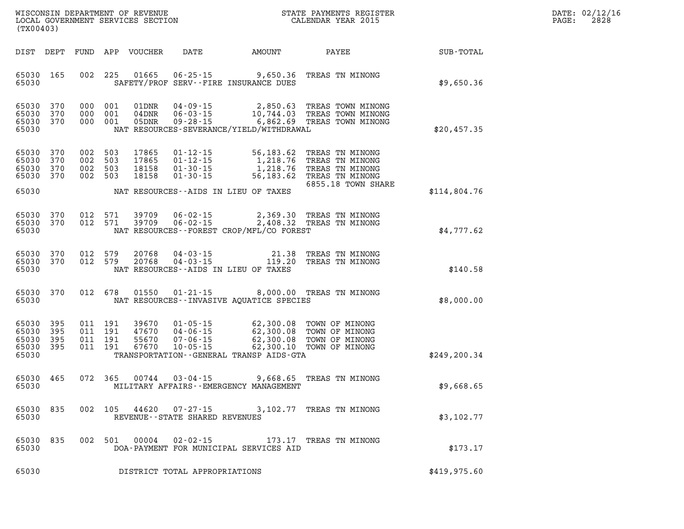| WISCONSIN DEPARTMENT OF REVENUE      | PAYMENTS REGISTER<br>3TATE | DATE: | 02/12/16 |
|--------------------------------------|----------------------------|-------|----------|
| GOVERNMENT SERVICES SECTION<br>LOCAL | CALENDAR YEAR 2015         | PAGE  | 2828     |

| (TX00403)                                 |                          |                                          |                               | LOCAL GOVERNMENT SERVICES SECTION |                                                                            |                                                                  | CALENDAR YEAR 2015                                                                                                          |               | PAGE: | 2828 |
|-------------------------------------------|--------------------------|------------------------------------------|-------------------------------|-----------------------------------|----------------------------------------------------------------------------|------------------------------------------------------------------|-----------------------------------------------------------------------------------------------------------------------------|---------------|-------|------|
| DIST DEPT                                 |                          |                                          |                               | FUND APP VOUCHER                  | <b>DATE</b>                                                                | AMOUNT                                                           | <b>PAYEE</b>                                                                                                                | SUB-TOTAL     |       |      |
| 65030 165<br>65030                        |                          | 002 225                                  |                               | 01665                             |                                                                            | $06 - 25 - 15$ 9,650.36<br>SAFETY/PROF SERV--FIRE INSURANCE DUES | TREAS TN MINONG                                                                                                             | \$9,650.36    |       |      |
| 65030<br>65030<br>65030 370<br>65030      | 370<br>370               | 000 001                                  | 000 001<br>000 001            | 01DNR<br>04DNR<br>05DNR           | 04-09-15<br>$06 - 03 - 15$<br>$09 - 28 - 15$                               | 2,850.63<br>NAT RESOURCES-SEVERANCE/YIELD/WITHDRAWAL             | TREAS TOWN MINONG<br>10,744.03 TREAS TOWN MINONG<br>6,862.69 TREAS TOWN MINONG                                              | \$20,457.35   |       |      |
| 65030<br>65030<br>65030<br>65030          | 370<br>370<br>370<br>370 | 002 503<br>002 503<br>002 503<br>002 503 |                               | 17865<br>17865<br>18158<br>18158  | $01 - 12 - 15$<br>$01 - 12 - 15$<br>$01 - 30 - 15$<br>$01 - 30 - 15$       | 1,218.76                                                         | 56,183.62 TREAS TN MINONG<br>1,218.76 TREAS TN MINONG<br>TREAS TN MINONG<br>56,183.62 TREAS TN MINONG<br>6855.18 TOWN SHARE |               |       |      |
| 65030                                     |                          |                                          |                               |                                   | NAT RESOURCES--AIDS IN LIEU OF TAXES                                       |                                                                  |                                                                                                                             | \$114,804.76  |       |      |
| 65030<br>65030<br>65030                   | 370<br>370               | 012                                      | 571<br>012 571                | 39709<br>39709                    | $06 - 02 - 15$<br>$06 - 02 - 15$                                           | NAT RESOURCES--FOREST CROP/MFL/CO FOREST                         | 2,369.30 TREAS TN MINONG<br>2,408.32 TREAS TN MINONG                                                                        | \$4,777.62    |       |      |
| 65030<br>65030 370<br>65030               | 370                      | 012 579<br>012 579                       |                               | 20768<br>20768                    | $04 - 03 - 15$<br>$04 - 03 - 15$<br>NAT RESOURCES -- AIDS IN LIEU OF TAXES | 21.38<br>119.20                                                  | TREAS TN MINONG<br>TREAS TN MINONG                                                                                          | \$140.58      |       |      |
| 65030 370<br>65030                        |                          | 012 678                                  |                               | 01550                             |                                                                            | NAT RESOURCES -- INVASIVE AQUATICE SPECIES                       | 01-21-15 8,000.00 TREAS TN MINONG                                                                                           | \$8,000.00    |       |      |
| 65030<br>65030<br>65030<br>65030<br>65030 | 395<br>395<br>395<br>395 | 011 191                                  | 011 191<br>011 191<br>011 191 | 39670<br>47670<br>55670<br>67670  | $01 - 05 - 15$<br>$04 - 06 - 15$<br>$07 - 06 - 15$<br>$10 - 05 - 15$       | TRANSPORTATION - - GENERAL TRANSP AIDS - GTA                     | 62,300.08 TOWN OF MINONG<br>62,300.08 TOWN OF MINONG<br>62,300.08 TOWN OF MINONG<br>62,300.10 TOWN OF MINONG                | \$249, 200.34 |       |      |
| 65030<br>65030                            | 465                      | 072 365                                  |                               | 00744                             | $03 - 04 - 15$                                                             | MILITARY AFFAIRS - - EMERGENCY MANAGEMENT                        | 9,668.65 TREAS TN MINONG                                                                                                    | \$9,668.65    |       |      |
| 65030 835<br>65030                        |                          |                                          |                               |                                   | 002 105 44620 07-27-15<br>REVENUE--STATE SHARED REVENUES                   |                                                                  | 3,102.77 TREAS TN MINONG                                                                                                    | \$3,102.77    |       |      |
| 65030<br>65030                            | 835                      |                                          | 002 501                       |                                   |                                                                            | DOA-PAYMENT FOR MUNICIPAL SERVICES AID                           | 00004  02-02-15  173.17  TREAS TN MINONG                                                                                    | \$173.17      |       |      |
| 65030                                     |                          |                                          |                               |                                   | DISTRICT TOTAL APPROPRIATIONS                                              |                                                                  |                                                                                                                             | \$419,975.60  |       |      |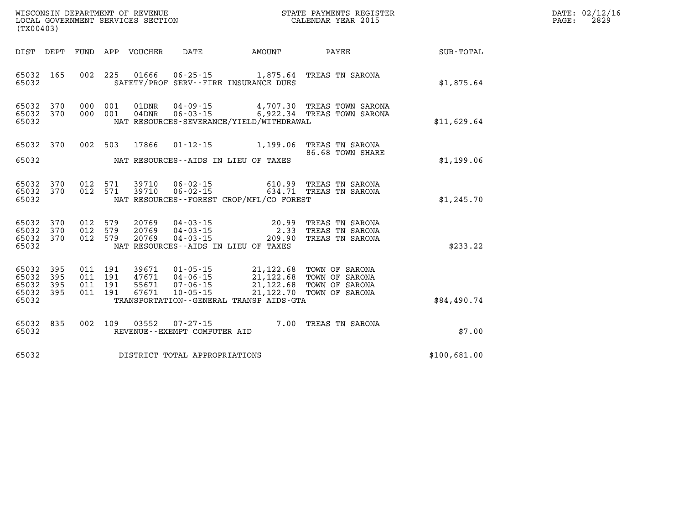| WISCONSIN DEPARTMENT OF REVENUE      | PAYMENTS REGISTER<br>3TATE | DATE: | 02/12/16 |
|--------------------------------------|----------------------------|-------|----------|
| GOVERNMENT SERVICES SECTION<br>LOCAL | CALENDAR YEAR 2015         | PAGE  | 2829     |

| (TX00403)                                     |                   |         |                                          | LOCAL GOVERNMENT SERVICES SECTION |                               |                                                                                                                                                                    | CALENDAR YEAR 2015                                                                                 |              | PAGE: | 2829 |
|-----------------------------------------------|-------------------|---------|------------------------------------------|-----------------------------------|-------------------------------|--------------------------------------------------------------------------------------------------------------------------------------------------------------------|----------------------------------------------------------------------------------------------------|--------------|-------|------|
|                                               |                   |         |                                          |                                   |                               |                                                                                                                                                                    |                                                                                                    |              |       |      |
| 65032 165<br>65032                            |                   |         |                                          |                                   |                               | SAFETY/PROF SERV--FIRE INSURANCE DUES                                                                                                                              | 002 225 01666 06-25-15 1,875.64 TREAS TN SARONA                                                    | \$1,875.64   |       |      |
| 65032 370<br>65032 370<br>65032               |                   |         | 000 001<br>000 001                       | 01DNR                             |                               | NAT RESOURCES-SEVERANCE/YIELD/WITHDRAWAL                                                                                                                           | 04-09-15 4,707.30 TREAS TOWN SARONA<br>04DNR  06-03-15  6,922.34 TREAS TOWN SARONA                 | \$11,629.64  |       |      |
| 65032 370<br>65032                            |                   |         |                                          | 002 503 17866                     |                               | NAT RESOURCES--AIDS IN LIEU OF TAXES                                                                                                                               | 01-12-15 1,199.06 TREAS TN SARONA<br>86.68 TOWN SHARE                                              | \$1,199.06   |       |      |
| 65032 370<br>65032 370<br>65032               |                   |         | 012 571<br>012 571                       | 39710<br>39710                    |                               | NAT RESOURCES--FOREST CROP/MFL/CO FOREST                                                                                                                           |                                                                                                    | \$1,245.70   |       |      |
| 65032 370<br>65032<br>65032 370<br>65032      | 370               | 012 579 | 012 579<br>012 579                       | 20769<br>20769<br>20769           |                               | NAT RESOURCES--AIDS IN LIEU OF TAXES                                                                                                                               | 04-03-15 20.99 TREAS TN SARONA<br>04-03-15 2.33 TREAS TN SARONA<br>04-03-15 209.90 TREAS TN SARONA | \$233.22     |       |      |
| 65032<br>65032<br>65032<br>65032 395<br>65032 | 395<br>395<br>395 |         | 011 191<br>011 191<br>011 191<br>011 191 | 39671<br>47671<br>55671<br>67671  |                               | 01-05-15 21,122.68 TOWN OF SARONA<br>04-06-15<br>07-06-15 21,122.68 TOWN OF SARONA<br>10-05-15 21,122.68 TOWN OF SARONA<br>TRANSPORTATION--GENERAL TRANSP AIDS-GTA |                                                                                                    | \$84,490.74  |       |      |
| 65032 835<br>65032                            |                   |         | 002 109                                  |                                   | REVENUE--EXEMPT COMPUTER AID  |                                                                                                                                                                    | 03552  07-27-15  7.00 TREAS TN SARONA                                                              | \$7.00       |       |      |
| 65032                                         |                   |         |                                          |                                   | DISTRICT TOTAL APPROPRIATIONS |                                                                                                                                                                    |                                                                                                    | \$100,681.00 |       |      |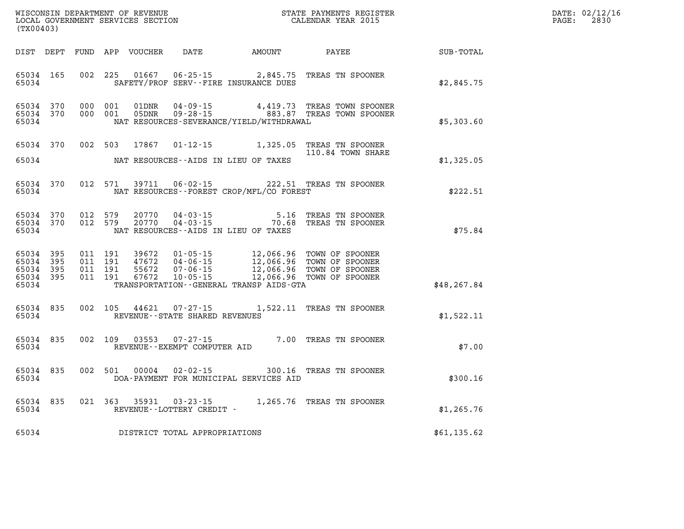| DATE: | 02/12/16 |
|-------|----------|
| PAGE: | 2830     |

|                                                   | LOCAL GOVERNMENT SERVICES SECTION<br>(TX00403) |  |                                                   |                         |                                   |                                              | CALENDAR YEAR 2015                                                                                                                                                                |             | PAGE: | 2830 |
|---------------------------------------------------|------------------------------------------------|--|---------------------------------------------------|-------------------------|-----------------------------------|----------------------------------------------|-----------------------------------------------------------------------------------------------------------------------------------------------------------------------------------|-------------|-------|------|
|                                                   |                                                |  |                                                   |                         |                                   | DIST DEPT FUND APP VOUCHER DATE AMOUNT PAYEE |                                                                                                                                                                                   | SUB-TOTAL   |       |      |
| 65034 165<br>65034                                |                                                |  |                                                   |                         |                                   | SAFETY/PROF SERV--FIRE INSURANCE DUES        | 002 225 01667 06-25-15 2,845.75 TREAS TN SPOONER                                                                                                                                  | \$2,845.75  |       |      |
| 65034 370<br>65034 370<br>65034                   |                                                |  | 000 001<br>000 001                                | 01DNR<br>05DNR          |                                   | NAT RESOURCES-SEVERANCE/YIELD/WITHDRAWAL     | 04-09-15 4,419.73 TREAS TOWN SPOONER<br>09-28-15 883.87 TREAS TOWN SPOONER                                                                                                        | \$5,303.60  |       |      |
| 65034 370                                         |                                                |  | 002 503                                           | 17867                   |                                   |                                              | 01-12-15 1,325.05 TREAS TN SPOONER<br>110.84 TOWN SHARE                                                                                                                           |             |       |      |
| 65034                                             |                                                |  |                                                   |                         |                                   | NAT RESOURCES--AIDS IN LIEU OF TAXES         |                                                                                                                                                                                   | \$1,325.05  |       |      |
| 65034 370<br>65034                                |                                                |  | 012 571                                           | 39711                   | $06 - 02 - 15$                    | NAT RESOURCES - - FOREST CROP/MFL/CO FOREST  | 222.51 TREAS TN SPOONER                                                                                                                                                           | \$222.51    |       |      |
| 65034 370<br>65034 370<br>65034                   |                                                |  | 012 579<br>012 579                                |                         |                                   | NAT RESOURCES--AIDS IN LIEU OF TAXES         | 5.16 TREAS TN SPOONER<br>20770  04-03-15  5.16  TREAS TN SPOONER<br>20770  04-03-15  70.68  TREAS TN SPOONER                                                                      | \$75.84     |       |      |
| 65034 395<br>65034<br>65034<br>65034 395<br>65034 | 395<br>395                                     |  | 011 191<br>39672<br>011 191<br>011 191<br>011 191 | 47672<br>55672<br>67672 |                                   | TRANSPORTATION--GENERAL TRANSP AIDS-GTA      | 01-05-15 12,066.96 TOWN OF SPOONER<br>04-06-15 12,066.96 TOWN OF SPOONER<br>07-06-15 12,066.96 TOWN OF SPOONER<br>10-05-15 12,066.96 TOWN OF SPOONER<br>12,066.96 TOWN OF SPOONER | \$48,267.84 |       |      |
| 65034 835<br>65034                                |                                                |  |                                                   |                         | REVENUE - - STATE SHARED REVENUES |                                              | 002 105 44621 07-27-15 1,522.11 TREAS TN SPOONER                                                                                                                                  | \$1,522.11  |       |      |
| 65034 835<br>65034                                |                                                |  | 002 109 03553                                     |                         | REVENUE--EXEMPT COMPUTER AID      |                                              | 07-27-15 7.00 TREAS TN SPOONER                                                                                                                                                    | \$7.00      |       |      |
| 65034<br>65034                                    | 835                                            |  | 002 501                                           | 00004                   | $02 - 02 - 15$                    | DOA-PAYMENT FOR MUNICIPAL SERVICES AID       | 300.16 TREAS TN SPOONER                                                                                                                                                           | \$300.16    |       |      |
| 65034 835<br>65034                                |                                                |  | 021 363 35931                                     |                         | REVENUE--LOTTERY CREDIT -         |                                              | 03-23-15 1,265.76 TREAS TN SPOONER                                                                                                                                                | \$1,265.76  |       |      |
| 65034                                             |                                                |  |                                                   |                         | DISTRICT TOTAL APPROPRIATIONS     |                                              |                                                                                                                                                                                   | \$61,135.62 |       |      |

WISCONSIN DEPARTMENT OF REVENUE **STATE PAYMENTS REGISTER**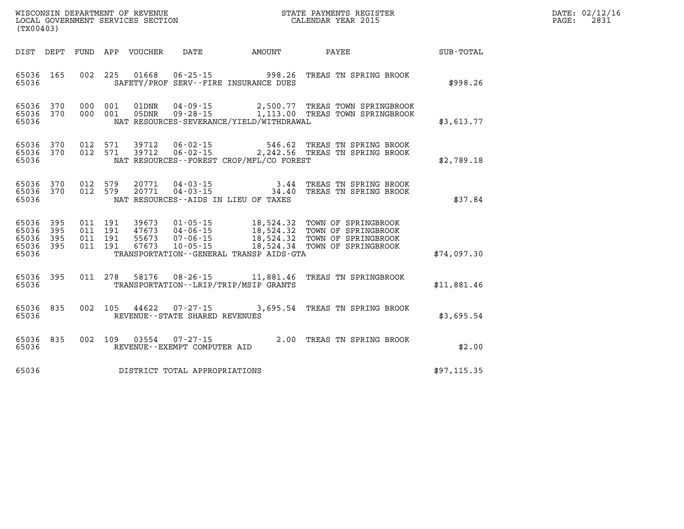| WISCONSIN DEPARTMENT OF REVENUE      | REGISTER<br>PAYMENTS<br>ЗТАТЕ.   | DATE | 02.  |
|--------------------------------------|----------------------------------|------|------|
| LOCAL<br>GOVERNMENT SERVICES SECTION | . 2015<br>CALENDAR YEAR<br>LNDAR | PAGE | 283. |

| (TX00403)                                                             |                          |                                                              |                                                                      |                                                                                                  |                                                                                          |                  |
|-----------------------------------------------------------------------|--------------------------|--------------------------------------------------------------|----------------------------------------------------------------------|--------------------------------------------------------------------------------------------------|------------------------------------------------------------------------------------------|------------------|
| DIST<br>DEPT                                                          | FUND                     | APP<br>VOUCHER                                               | DATE                                                                 | AMOUNT                                                                                           | PAYEE                                                                                    | <b>SUB-TOTAL</b> |
| 165<br>65036<br>65036                                                 | 002                      | 225<br>01668                                                 |                                                                      | $06 - 25 - 15$ 998.26<br>SAFETY/PROF SERV--FIRE INSURANCE DUES                                   | TREAS TN SPRING BROOK                                                                    | \$998.26         |
| 65036<br>370<br>370<br>65036<br>65036                                 | 000<br>000               | 001<br>01DNR<br>001<br>05DNR                                 | $04 - 09 - 15$<br>$09 - 28 - 15$                                     | 2,500.77<br>1,113.00<br>NAT RESOURCES-SEVERANCE/YIELD/WITHDRAWAL                                 | TREAS TOWN SPRINGBROOK<br>TREAS TOWN SPRINGBROOK                                         | \$3,613.77       |
| 370<br>65036<br>65036<br>370<br>65036                                 | 012<br>012               | 571<br>39712<br>571<br>39712                                 | $06 - 02 - 15$<br>$06 - 02 - 15$                                     | 546.62<br>2,242.56<br>NAT RESOURCES--FOREST CROP/MFL/CO FOREST                                   | TREAS TN SPRING BROOK<br>TREAS TN SPRING BROOK                                           | \$2,789.18       |
| 370<br>65036<br>370<br>65036<br>65036                                 | 012<br>012               | 579<br>20771<br>579<br>20771                                 | $04 - 03 - 15$<br>$04 - 03 - 15$                                     | 3.44<br>34.40<br>NAT RESOURCES -- AIDS IN LIEU OF TAXES                                          | TREAS TN SPRING BROOK<br>TREAS TN SPRING BROOK                                           | \$37.84          |
| 65036<br>395<br>395<br>65036<br>65036<br>395<br>395<br>65036<br>65036 | 011<br>011<br>011<br>011 | 191<br>39673<br>191<br>47673<br>191<br>55673<br>191<br>67673 | $01 - 05 - 15$<br>$04 - 06 - 15$<br>$07 - 06 - 15$<br>$10 - 05 - 15$ | 18,524.32<br>18,524.32<br>18,524.32<br>18,524.34<br>TRANSPORTATION - - GENERAL TRANSP AIDS - GTA | TOWN OF SPRINGBROOK<br>TOWN OF SPRINGBROOK<br>TOWN OF SPRINGBROOK<br>TOWN OF SPRINGBROOK | \$74,097.30      |
| 65036<br>395<br>65036                                                 | 011                      | 278<br>58176                                                 | $08 - 26 - 15$                                                       | 11,881.46<br>TRANSPORTATION - - LRIP/TRIP/MSIP GRANTS                                            | TREAS TN SPRINGBROOK                                                                     | \$11,881.46      |
| 835<br>65036<br>65036                                                 | 002                      | 44622<br>105                                                 | $07 - 27 - 15$<br>REVENUE - - STATE SHARED REVENUES                  | 3,695.54                                                                                         | TREAS TN SPRING BROOK                                                                    | \$3,695.54       |
| 65036<br>835<br>65036                                                 | 002                      | 109<br>03554                                                 | $07 - 27 - 15$<br>REVENUE--EXEMPT COMPUTER AID                       | 2.00                                                                                             | TREAS TN SPRING BROOK                                                                    | \$2.00           |
| 65036                                                                 |                          |                                                              | DISTRICT TOTAL APPROPRIATIONS                                        |                                                                                                  |                                                                                          | \$97, 115.35     |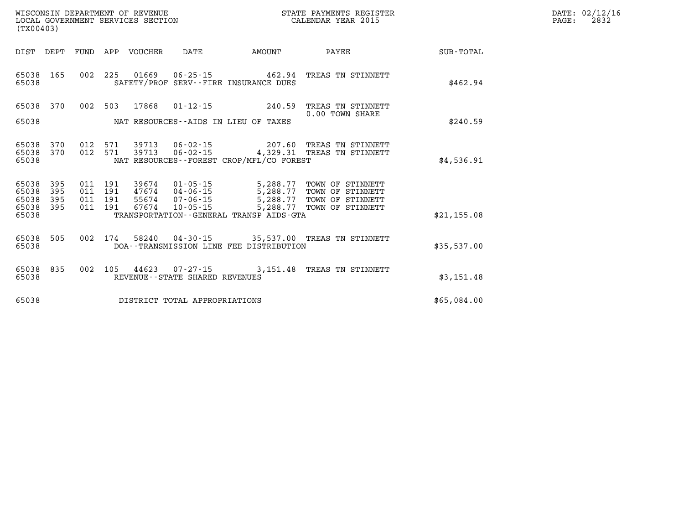| DATE: | 02/12/16 |
|-------|----------|
| PAGE: | 2832     |

| (TX00403)                                 |                          |                          |                          |                         |                                                                |                                                                             |                                                                                       |             |
|-------------------------------------------|--------------------------|--------------------------|--------------------------|-------------------------|----------------------------------------------------------------|-----------------------------------------------------------------------------|---------------------------------------------------------------------------------------|-------------|
| DIST                                      | DEPT                     | FUND                     | APP                      | VOUCHER                 | DATE                                                           | AMOUNT                                                                      | PAYEE                                                                                 | SUB-TOTAL   |
| 65038<br>65038                            | 165                      | 002                      | 225                      | 01669                   | $06 - 25 - 15$                                                 | 462.94<br>SAFETY/PROF SERV--FIRE INSURANCE DUES                             | TREAS TN STINNETT                                                                     | \$462.94    |
| 65038<br>65038                            | 370                      | 002                      | 503                      | 17868                   | $01 - 12 - 15$                                                 | 240.59<br>NAT RESOURCES--AIDS IN LIEU OF TAXES                              | TREAS TN STINNETT<br>0.00 TOWN SHARE                                                  | \$240.59    |
| 65038<br>65038<br>65038                   | 370<br>370               | 012<br>012               | 571<br>571               | 39713<br>39713          | 06-02-15<br>$06 - 02 - 15$                                     | 207.60<br>NAT RESOURCES--FOREST CROP/MFL/CO FOREST                          | TREAS TN STINNETT<br>4,329.31 TREAS TN STINNETT                                       | \$4,536.91  |
| 65038<br>65038<br>65038<br>65038<br>65038 | 395<br>395<br>395<br>395 | 011<br>011<br>011<br>011 | 191<br>191<br>191<br>191 | 39674<br>55674<br>67674 | $01 - 05 - 15$<br>47674 04-06-15<br>07-06-15<br>$10 - 05 - 15$ | 5,288.77<br>5,288.77<br>5,288.77<br>TRANSPORTATION--GENERAL TRANSP AIDS-GTA | 5,288.77 TOWN OF STINNETT<br>TOWN OF STINNETT<br>TOWN OF STINNETT<br>TOWN OF STINNETT | \$21,155.08 |
| 65038<br>65038                            | 505                      | 002                      | 174                      |                         |                                                                | DOA--TRANSMISSION LINE FEE DISTRIBUTION                                     | 58240  04-30-15  35,537.00  TREAS TN STINNETT                                         | \$35,537.00 |
| 65038<br>65038                            | 835                      | 002                      | 105                      | 44623                   | REVENUE - - STATE SHARED REVENUES                              | $07 - 27 - 15$ 3,151.48                                                     | TREAS TN STINNETT                                                                     | \$3,151.48  |
| 65038                                     |                          |                          |                          |                         | DISTRICT TOTAL APPROPRIATIONS                                  |                                                                             |                                                                                       | \$65,084.00 |

LOCAL GOVERNMENT SERVICES SECTION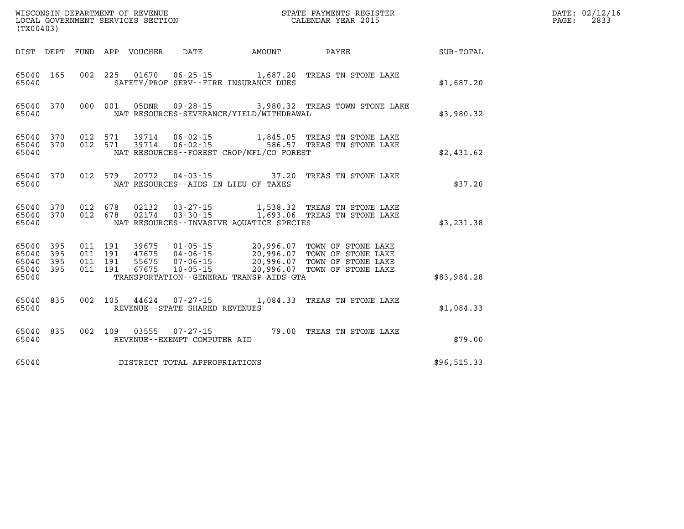| WISCONSIN DEPARTMENT OF REVENUE   | STATE PAYMENTS REGISTER |       | DATE: 02/12/16 |
|-----------------------------------|-------------------------|-------|----------------|
| LOCAL GOVERNMENT SERVICES SECTION | CALENDAR YEAR 2015      | PAGE: | 2833           |

| LOCAL GOVERNMENT SERVICES SECTION CALENDAR YEAR 2015<br>(TX00403) |           |  |  |                                |                                             |                                                                                                                                                                                                                                      |                                                        | PAGE: | 2833 |
|-------------------------------------------------------------------|-----------|--|--|--------------------------------|---------------------------------------------|--------------------------------------------------------------------------------------------------------------------------------------------------------------------------------------------------------------------------------------|--------------------------------------------------------|-------|------|
|                                                                   |           |  |  |                                |                                             |                                                                                                                                                                                                                                      | DIST DEPT FUND APP VOUCHER DATE AMOUNT PAYEE SUB-TOTAL |       |      |
| 65040                                                             | 65040 165 |  |  |                                | SAFETY/PROF SERV--FIRE INSURANCE DUES       | 002 225 01670 06-25-15 1,687.20 TREAS TN STONE LAKE                                                                                                                                                                                  | \$1,687.20                                             |       |      |
| 65040                                                             |           |  |  |                                | NAT RESOURCES-SEVERANCE/YIELD/WITHDRAWAL    | 65040 370 000 001 05DNR 09-28-15 3,980.32 TREAS TOWN STONE LAKE                                                                                                                                                                      | \$3,980.32                                             |       |      |
| 65040 370<br>65040                                                | 65040 370 |  |  |                                | NAT RESOURCES - - FOREST CROP/MFL/CO FOREST | 012 571 39714 06-02-15 1,845.05 TREAS TN STONE LAKE<br>012 571 39714 06-02-15 586.57 TREAS TN STONE LAKE                                                                                                                             | \$2,431.62                                             |       |      |
| 65040                                                             | 65040 370 |  |  |                                | NAT RESOURCES--AIDS IN LIEU OF TAXES        | 012 579 20772 04-03-15 37.20 TREAS TN STONE LAKE                                                                                                                                                                                     | \$37.20                                                |       |      |
| 65040                                                             |           |  |  |                                | NAT RESOURCES--INVASIVE AQUATICE SPECIES    | $\begin{array}{cccccc} 65040 & 370 & 012 & 678 & 02132 & 03\cdot 27\cdot 15 & & 1,538.32 & \text{TREAS TN STONE LAKE} \\ 65040 & 370 & 012 & 678 & 02174 & 03\cdot 30\cdot 15 & & 1,693.06 & \text{TREAS TN STONE LAKE} \end{array}$ | \$3,231.38                                             |       |      |
| 65040 395<br>65040 395<br>65040 395<br>65040 395<br>65040         |           |  |  |                                | TRANSPORTATION--GENERAL TRANSP AIDS-GTA     | 011 191 39675 01-05-15 20,996.07 TOWN OF STONE LAKE<br>011 191 47675 04-06-15 20,996.07 TOWN OF STONE LAKE<br>011 191 55675 07-06-15 20,996.07 TOWN OF STONE LAKE<br>011 191 67675 10-05-15 20,996.07 TOWN OF STONE LAKE             | \$83,984.28                                            |       |      |
| 65040                                                             | 65040 835 |  |  | REVENUE--STATE SHARED REVENUES |                                             | 002 105 44624 07-27-15 1,084.33 TREAS TN STONE LAKE                                                                                                                                                                                  | \$1,084.33                                             |       |      |
| 65040                                                             | 65040 835 |  |  | REVENUE--EXEMPT COMPUTER AID   |                                             | 002 109 03555 07-27-15 79.00 TREAS TN STONE LAKE                                                                                                                                                                                     | \$79.00                                                |       |      |
| 65040                                                             |           |  |  | DISTRICT TOTAL APPROPRIATIONS  |                                             |                                                                                                                                                                                                                                      | \$96,515.33                                            |       |      |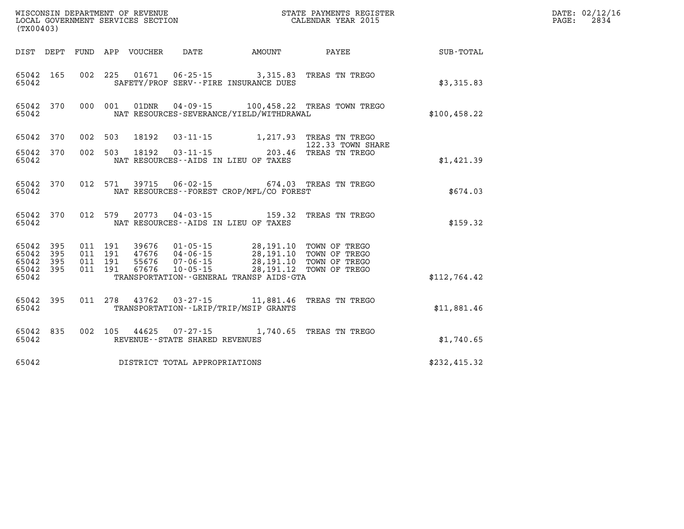|                                                           | WISCONSIN DEPARTMENT OF REVENUE<br>LOCAL GOVERNMENT SERVICES SECTION<br>(TX00403) |  |                                          |                                 |                                   |                                                                                                                                                                                                                          | STATE PAYMENTS REGISTER<br>CALENDAR YEAR 2015                |               | DATE: 02/12/16<br>PAGE:<br>2834 |
|-----------------------------------------------------------|-----------------------------------------------------------------------------------|--|------------------------------------------|---------------------------------|-----------------------------------|--------------------------------------------------------------------------------------------------------------------------------------------------------------------------------------------------------------------------|--------------------------------------------------------------|---------------|---------------------------------|
|                                                           |                                                                                   |  |                                          | DIST DEPT FUND APP VOUCHER DATE |                                   | <b>AMOUNT</b>                                                                                                                                                                                                            | <b>PAYEE</b> PAYEE                                           | SUB-TOTAL     |                                 |
| 65042 165<br>65042                                        |                                                                                   |  |                                          | 002 225 01671                   |                                   | SAFETY/PROF SERV--FIRE INSURANCE DUES                                                                                                                                                                                    | 06-25-15 3,315.83 TREAS TN TREGO                             | \$3,315.83    |                                 |
| 65042                                                     | 65042 370                                                                         |  |                                          |                                 |                                   | NAT RESOURCES-SEVERANCE/YIELD/WITHDRAWAL                                                                                                                                                                                 | 000 001 01DNR 04-09-15 100,458.22 TREAS TOWN TREGO           | \$100, 458.22 |                                 |
| 65042 370                                                 |                                                                                   |  | 002 503                                  | 18192                           |                                   | 03-11-15 1,217.93 TREAS TN TREGO                                                                                                                                                                                         |                                                              |               |                                 |
| 65042 370<br>65042                                        |                                                                                   |  | 002 503                                  |                                 |                                   | NAT RESOURCES--AIDS IN LIEU OF TAXES                                                                                                                                                                                     | 122.33 TOWN SHARE<br>18192  03-11-15  203.46  TREAS TN TREGO | \$1,421.39    |                                 |
| 65042                                                     | 65042 370                                                                         |  |                                          |                                 |                                   | NAT RESOURCES - - FOREST CROP/MFL/CO FOREST                                                                                                                                                                              | 012 571 39715 06-02-15 674.03 TREAS TN TREGO                 | \$674.03      |                                 |
| 65042                                                     | 65042 370                                                                         |  |                                          |                                 |                                   | NAT RESOURCES--AIDS IN LIEU OF TAXES                                                                                                                                                                                     | 012 579 20773 04-03-15 159.32 TREAS TN TREGO                 | \$159.32      |                                 |
| 65042 395<br>65042 395<br>65042 395<br>65042 395<br>65042 |                                                                                   |  | 011 191<br>011 191<br>011 191<br>011 191 |                                 |                                   | 39676  01-05-15  28,191.10 TOWN OF TREGO<br>47676  04-06-15  28,191.10 TOWN OF TREGO<br>55676  07-06-15  28,191.10 TOWN OF TREGO<br>67676  10-05-15  28,191.12  TOWN OF TREGO<br>TRANSPORTATION--GENERAL TRANSP AIDS-GTA |                                                              | \$112,764.42  |                                 |
|                                                           |                                                                                   |  |                                          |                                 |                                   |                                                                                                                                                                                                                          |                                                              |               |                                 |
| 65042                                                     | 65042 395                                                                         |  |                                          |                                 |                                   | 011 278 43762 03-27-15 11,881.46 TREAS TN TREGO<br>TRANSPORTATION - - LRIP/TRIP/MSIP GRANTS                                                                                                                              |                                                              | \$11,881.46   |                                 |
| 65042                                                     | 65042 835                                                                         |  |                                          |                                 | REVENUE - - STATE SHARED REVENUES |                                                                                                                                                                                                                          | 002 105 44625 07-27-15 1,740.65 TREAS TN TREGO               | \$1,740.65    |                                 |
| 65042                                                     |                                                                                   |  |                                          |                                 | DISTRICT TOTAL APPROPRIATIONS     |                                                                                                                                                                                                                          |                                                              | \$232,415.32  |                                 |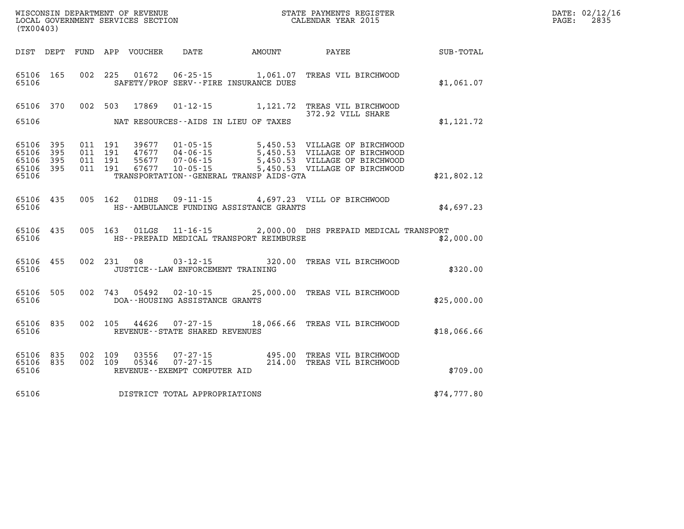| WISCONSIN DEPARTMENT OF REVENUE   | R PAYMENTS REGISTER<br>STATE | $\mathtt{DATE}$ : | 02/12/16 |
|-----------------------------------|------------------------------|-------------------|----------|
| LOCAL GOVERNMENT SERVICES SECTION | CALENDAR YEAR 2015           | PAGE              | 283      |

| (TX00403)                                 |                          |                          |                          |                                  |                                                                      |                                                                             |                                                                                                       |             |
|-------------------------------------------|--------------------------|--------------------------|--------------------------|----------------------------------|----------------------------------------------------------------------|-----------------------------------------------------------------------------|-------------------------------------------------------------------------------------------------------|-------------|
| DIST                                      | DEPT                     | FUND                     | APP                      | VOUCHER DATE                     |                                                                      | AMOUNT                                                                      | <b>PAYEE</b>                                                                                          | SUB-TOTAL   |
| 65106<br>65106                            | 165                      | 002                      | 225                      | 01672                            |                                                                      | $06 - 25 - 15$ 1,061.07<br>SAFETY/PROF SERV--FIRE INSURANCE DUES            | TREAS VIL BIRCHWOOD                                                                                   | \$1,061.07  |
| 65106                                     | 370                      | 002                      | 503                      | 17869                            | $01 - 12 - 15$                                                       |                                                                             | 1,121.72 TREAS VIL BIRCHWOOD<br>372.92 VILL SHARE                                                     |             |
| 65106                                     |                          |                          |                          |                                  |                                                                      | NAT RESOURCES--AIDS IN LIEU OF TAXES                                        |                                                                                                       | \$1, 121.72 |
| 65106<br>65106<br>65106<br>65106<br>65106 | 395<br>395<br>395<br>395 | 011<br>011<br>011<br>011 | 191<br>191<br>191<br>191 | 39677<br>47677<br>55677<br>67677 | $01 - 05 - 15$<br>$04 - 06 - 15$<br>$07 - 06 - 15$<br>$10 - 05 - 15$ | 5,450.53<br>5,450.53<br>5,450.53<br>TRANSPORTATION--GENERAL TRANSP AIDS-GTA | VILLAGE OF BIRCHWOOD<br>VILLAGE OF BIRCHWOOD<br>VILLAGE OF BIRCHWOOD<br>5,450.53 VILLAGE OF BIRCHWOOD | \$21,802.12 |
| 65106<br>65106                            | 435                      | 005                      | 162                      | 01DHS                            |                                                                      | HS--AMBULANCE FUNDING ASSISTANCE GRANTS                                     | 09-11-15 4,697.23 VILL OF BIRCHWOOD                                                                   | \$4,697.23  |
| 65106<br>65106                            | 435                      | 005                      | 163                      | 01LGS                            |                                                                      | HS--PREPAID MEDICAL TRANSPORT REIMBURSE                                     | 11-16-15 2,000.00 DHS PREPAID MEDICAL TRANSPORT                                                       | \$2,000.00  |
| 65106<br>65106                            | 455                      | 002                      | 231                      | 08                               | $03 - 12 - 15$<br>JUSTICE - - LAW ENFORCEMENT TRAINING               | 320.00                                                                      | TREAS VIL BIRCHWOOD                                                                                   | \$320.00    |
| 65106<br>65106                            | 505                      | 002                      | 743                      | 05492                            | $02 - 10 - 15$<br>DOA--HOUSING ASSISTANCE GRANTS                     | 25,000.00                                                                   | TREAS VIL BIRCHWOOD                                                                                   | \$25,000.00 |
| 65106<br>65106                            | 835                      | 002                      | 105                      |                                  | 44626 07-27-15<br>REVENUE - - STATE SHARED REVENUES                  | 18,066.66                                                                   | TREAS VIL BIRCHWOOD                                                                                   | \$18,066.66 |
| 65106<br>65106<br>65106                   | 835<br>835               | 002<br>002               | 109<br>109               | 03556<br>05346                   | $07 - 27 - 15$<br>$07 - 27 - 15$<br>REVENUE--EXEMPT COMPUTER AID     | $495.00$<br>$214.00$                                                        | TREAS VIL BIRCHWOOD<br>TREAS VIL BIRCHWOOD                                                            | \$709.00    |
| 65106                                     |                          |                          |                          |                                  | DISTRICT TOTAL APPROPRIATIONS                                        |                                                                             |                                                                                                       | \$74,777.80 |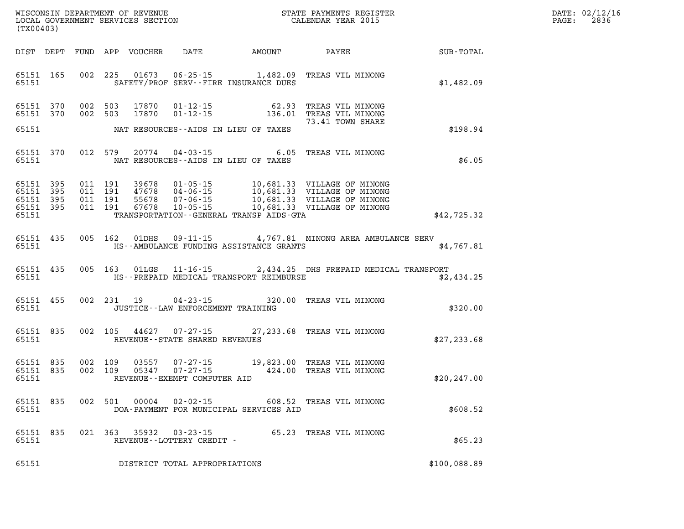| (TX00403)          |       |               |                                                     |                                            | WISCONSIN DEPARTMENT OF REVENUE<br>LOCAL GOVERNMENT SERVICES SECTION<br>CALENDAR YEAR 2015                              | $\mathbb{R}^n$ | DATE: 02/12/16<br>PAGE: 2836 |
|--------------------|-------|---------------|-----------------------------------------------------|--------------------------------------------|-------------------------------------------------------------------------------------------------------------------------|----------------|------------------------------|
|                    |       |               |                                                     |                                            | DIST DEPT FUND APP VOUCHER DATE AMOUNT PAYEE                                                                            | SUB-TOTAL      |                              |
|                    | 65151 |               |                                                     | SAFETY/PROF SERV--FIRE INSURANCE DUES      | 65151 165 002 225 01673 06-25-15 1,482.09 TREAS VIL MINONG                                                              | \$1,482.09     |                              |
|                    |       |               |                                                     |                                            | 65151 370 002 503 17870 01-12-15 62.93 TREAS VIL MINONG<br>65151 370 002 503 17870 01-12-15 136.01 TREAS VIL MINONG     |                |                              |
|                    |       |               |                                                     | 65151 NAT RESOURCES--AIDS IN LIEU OF TAXES |                                                                                                                         | \$198.94       |                              |
|                    |       |               |                                                     | 65151 NAT RESOURCES--AIDS IN LIEU OF TAXES | 65151 370 012 579 20774 04-03-15 6.05 TREAS VIL MINONG                                                                  | \$6.05         |                              |
| 65151              |       |               |                                                     | TRANSPORTATION--GENERAL TRANSP AIDS-GTA    |                                                                                                                         | \$42,725.32    |                              |
|                    |       |               |                                                     |                                            | 65151 435 005 162 01DHS 09-11-15 4,767.81 MINONG AREA AMBULANCE SERV                                                    | \$4.767.81     |                              |
|                    |       |               |                                                     |                                            | 65151 435 005 163 01LGS 11-16-15 2,434.25 DHS PREPAID MEDICAL TRANSPORT                                                 | \$2,434.25     |                              |
|                    |       |               | 65151 JUSTICE - - LAW ENFORCEMENT TRAINING          |                                            | 65151 455 002 231 19 04-23-15 320.00 TREAS VIL MINONG                                                                   | \$320.00       |                              |
|                    |       |               | 65151 REVENUE - STATE SHARED REVENUES               |                                            | 65151 835 002 105 44627 07-27-15 27,233.68 TREAS VIL MINONG                                                             | \$27, 233.68   |                              |
| 65151              |       |               | REVENUE--EXEMPT COMPUTER AID                        |                                            | 65151 835 002 109 03557 07-27-15 19,823.00 TREAS VIL MINONG<br>65151 835 002 109 05347 07-27-15 424.00 TREAS VIL MINONG | \$20, 247.00   |                              |
| 65151 835<br>65151 |       | 002 501 00004 | $02 - 02 - 15$                                      | DOA-PAYMENT FOR MUNICIPAL SERVICES AID     | 608.52 TREAS VIL MINONG                                                                                                 | \$608.52       |                              |
| 65151 835<br>65151 |       |               | 021 363 35932 03-23-15<br>REVENUE--LOTTERY CREDIT - |                                            | 65.23 TREAS VIL MINONG                                                                                                  | \$65.23        |                              |
| 65151              |       |               | DISTRICT TOTAL APPROPRIATIONS                       |                                            |                                                                                                                         | \$100,088.89   |                              |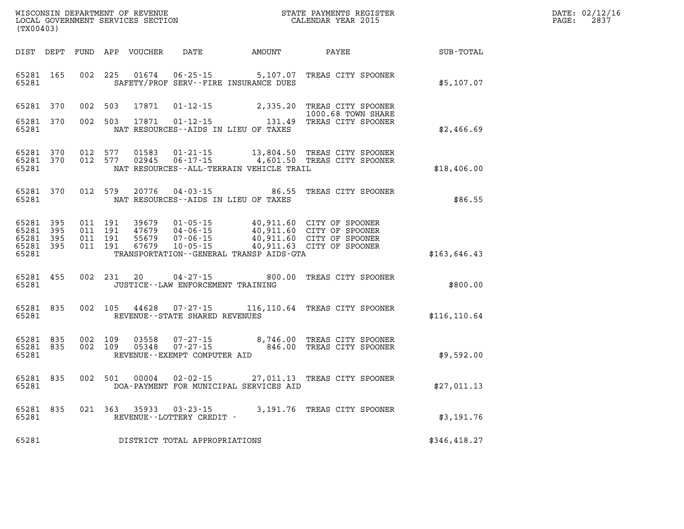| $\mathtt{DATE}$ : | 02/12/16 |
|-------------------|----------|
| PAGE:             | 2837     |

| (TX00403)                                 |                          |                          |                          | WISCONSIN DEPARTMENT OF REVENUE<br>LOCAL GOVERNMENT SERVICES SECTION |                                                                                                                 |                                                  | STATE PAYMENTS REGISTER<br>CALENDAR YEAR 2015                            |               |
|-------------------------------------------|--------------------------|--------------------------|--------------------------|----------------------------------------------------------------------|-----------------------------------------------------------------------------------------------------------------|--------------------------------------------------|--------------------------------------------------------------------------|---------------|
| DIST                                      | DEPT                     | FUND                     | APP                      | VOUCHER                                                              | DATE                                                                                                            | AMOUNT                                           | PAYEE                                                                    | SUB-TOTAL     |
| 65281<br>65281                            | 165                      | 002                      | 225                      | 01674                                                                | $06 - 25 - 15$<br>SAFETY/PROF SERV--FIRE INSURANCE DUES                                                         | 5,107.07                                         | TREAS CITY SPOONER                                                       | \$5,107.07    |
| 65281                                     | 370                      | 002                      | 503                      | 17871                                                                | $01 - 12 - 15$                                                                                                  | 2,335.20                                         | TREAS CITY SPOONER<br>1000.68 TOWN SHARE                                 |               |
| 65281<br>65281                            | 370                      | 002                      | 503                      | 17871                                                                | $01 - 12 - 15$<br>NAT RESOURCES--AIDS IN LIEU OF TAXES                                                          | 131.49                                           | TREAS CITY SPOONER                                                       | \$2,466.69    |
| 65281<br>65281<br>65281                   | 370<br>370               | 012<br>012               | 577<br>577               | 01583<br>02945                                                       | $01 - 21 - 15$<br>$06 - 17 - 15$<br>NAT RESOURCES - - ALL - TERRAIN VEHICLE TRAIL                               | 13,804.50<br>4,601.50                            | TREAS CITY SPOONER<br>TREAS CITY SPOONER                                 | \$18,406.00   |
| 65281<br>65281                            | 370                      | 012                      | 579                      | 20776                                                                | $04 - 03 - 15$<br>NAT RESOURCES -- AIDS IN LIEU OF TAXES                                                        | 86.55                                            | TREAS CITY SPOONER                                                       | \$86.55       |
| 65281<br>65281<br>65281<br>65281<br>65281 | 395<br>395<br>395<br>395 | 011<br>011<br>011<br>011 | 191<br>191<br>191<br>191 | 39679<br>47679<br>55679<br>67679                                     | $01 - 05 - 15$<br>$04 - 06 - 15$<br>$07 - 06 - 15$<br>$10 - 05 - 15$<br>TRANSPORTATION--GENERAL TRANSP AIDS-GTA | 40,911.60<br>40,911.60<br>40,911.60<br>40,911.63 | CITY OF SPOONER<br>CITY OF SPOONER<br>CITY OF SPOONER<br>CITY OF SPOONER | \$163,646.43  |
| 65281<br>65281                            | 455                      | 002                      | 231                      | 20                                                                   | $04 - 27 - 15$<br>JUSTICE -- LAW ENFORCEMENT TRAINING                                                           | 800.00                                           | TREAS CITY SPOONER                                                       | \$800.00      |
| 65281<br>65281                            | 835                      | 002                      | 105                      | 44628                                                                | $07 - 27 - 15$<br>REVENUE--STATE SHARED REVENUES                                                                | 116,110.64                                       | TREAS CITY SPOONER                                                       | \$116, 110.64 |
| 65281<br>65281<br>65281                   | 835<br>835               | 002<br>002               | 109<br>109               | 03558<br>05348                                                       | $07 - 27 - 15$<br>$07 - 27 - 15$<br>REVENUE--EXEMPT COMPUTER AID                                                | 8,746.00<br>846.00                               | TREAS CITY SPOONER<br>TREAS CITY SPOONER                                 | \$9,592.00    |
| 65281<br>65281                            | 835                      | 002                      | 501                      | 00004                                                                | $02 - 02 - 15$<br>DOA-PAYMENT FOR MUNICIPAL SERVICES AID                                                        | 27,011.13                                        | TREAS CITY SPOONER                                                       | \$27,011.13   |
| 65281<br>65281                            | 835                      | 021                      | 363                      | 35933                                                                | $03 - 23 - 15$<br>REVENUE--LOTTERY CREDIT -                                                                     | 3,191.76                                         | TREAS CITY SPOONER                                                       | \$3,191.76    |
| 65281                                     |                          |                          |                          |                                                                      | DISTRICT TOTAL APPROPRIATIONS                                                                                   |                                                  |                                                                          | \$346,418.27  |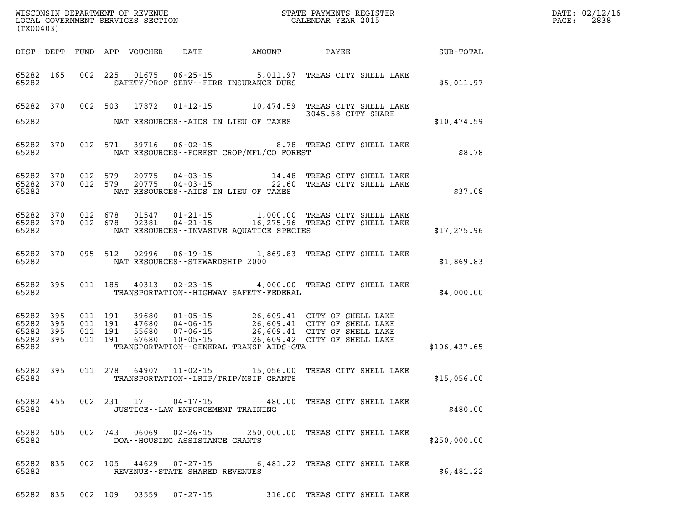| (TX00403)                                 |                          | WISCONSIN DEPARTMENT OF REVENUE<br>LOCAL GOVERNMENT SERVICES SECTION |                          | STATE PAYMENTS REGISTER<br>CALENDAR YEAR 2015 |                                      |                                                                  |                                                                                                                                                                                                                                  |              |
|-------------------------------------------|--------------------------|----------------------------------------------------------------------|--------------------------|-----------------------------------------------|--------------------------------------|------------------------------------------------------------------|----------------------------------------------------------------------------------------------------------------------------------------------------------------------------------------------------------------------------------|--------------|
| DIST                                      | DEPT                     | FUND                                                                 |                          | APP VOUCHER                                   | DATE AMOUNT                          |                                                                  | PAYEE                                                                                                                                                                                                                            | SUB-TOTAL    |
| 65282<br>65282                            | 165                      | 002                                                                  | 225                      |                                               |                                      | SAFETY/PROF SERV--FIRE INSURANCE DUES                            | 01675  06-25-15  5,011.97  TREAS CITY SHELL LAKE                                                                                                                                                                                 | \$5,011.97   |
| 65282<br>65282                            | 370                      | 002                                                                  | 503                      | 17872                                         |                                      | $01 - 12 - 15$ 10,474.59<br>NAT RESOURCES--AIDS IN LIEU OF TAXES | TREAS CITY SHELL LAKE<br>3045.58 CITY SHARE                                                                                                                                                                                      | \$10,474.59  |
|                                           |                          |                                                                      |                          |                                               |                                      |                                                                  |                                                                                                                                                                                                                                  |              |
| 65282<br>65282                            | 370                      |                                                                      | 012 571                  | 39716                                         |                                      | NAT RESOURCES - - FOREST CROP/MFL/CO FOREST                      | 06-02-15 8.78 TREAS CITY SHELL LAKE                                                                                                                                                                                              | \$8.78       |
| 65282<br>65282 370<br>65282               | 370                      | 012<br>012                                                           | 579<br>579               | 20775<br>20775                                |                                      | NAT RESOURCES--AIDS IN LIEU OF TAXES                             | 04-03-15 14.48 TREAS CITY SHELL LAKE<br>04-03-15 22.60 TREAS CITY SHELL LAKE                                                                                                                                                     | \$37.08      |
| 65282<br>65282<br>65282                   | 370<br>370               | 012<br>012                                                           | 678<br>678               | 01547<br>02381                                |                                      | NAT RESOURCES -- INVASIVE AQUATICE SPECIES                       | 01-21-15 1,000.00 TREAS CITY SHELL LAKE<br>04-21-15 16,275.96 TREAS CITY SHELL LAKE                                                                                                                                              | \$17,275.96  |
| 65282<br>65282                            | 370                      | 095                                                                  | 512                      | 02996                                         | NAT RESOURCES - - STEWARDSHIP 2000   |                                                                  | 06-19-15 1,869.83 TREAS CITY SHELL LAKE                                                                                                                                                                                          | \$1,869.83   |
| 65282 395<br>65282                        |                          |                                                                      |                          | 011 185 40313                                 |                                      | TRANSPORTATION - - HIGHWAY SAFETY - FEDERAL                      | 02-23-15 4,000.00 TREAS CITY SHELL LAKE                                                                                                                                                                                          | \$4,000.00   |
| 65282<br>65282<br>65282<br>65282<br>65282 | 395<br>395<br>395<br>395 | 011<br>011<br>011<br>011                                             | 191<br>191<br>191<br>191 | 39680<br>47680<br>55680<br>67680              |                                      | TRANSPORTATION--GENERAL TRANSP AIDS-GTA                          | 01-05-15 26,609.41 CITY OF SHELL LAKE<br>04-06-15 26,609.41 CITY OF SHELL LAKE<br>07-06-15 26,609.41 CITY OF SHELL LAKE<br>10-05-15 26,609.42 CITY OF SHELL LAKE<br>26,609.41 CITY OF SHELL LAKE<br>26,609.41 CITY OF SHELL LAKE | \$106,437.65 |
| 65282<br>65282                            | 395                      | 011                                                                  | 278                      | 64907                                         |                                      | TRANSPORTATION - - LRIP/TRIP/MSIP GRANTS                         | 11-02-15 15,056.00 TREAS CITY SHELL LAKE                                                                                                                                                                                         | \$15,056.00  |
| 65282 455<br>65282                        |                          | 002                                                                  |                          |                                               | JUSTICE - - LAW ENFORCEMENT TRAINING |                                                                  | 231 17 04-17-15 480.00 TREAS CITY SHELL LAKE                                                                                                                                                                                     | \$480.00     |
| 65282<br>65282                            | 505                      |                                                                      |                          |                                               | DOA--HOUSING ASSISTANCE GRANTS       |                                                                  | 002 743 06069 02-26-15 250,000.00 TREAS CITY SHELL LAKE                                                                                                                                                                          | \$250,000.00 |
| 65282<br>65282                            | 835                      | 002                                                                  |                          |                                               | REVENUE--STATE SHARED REVENUES       |                                                                  | 105 44629 07-27-15 6,481.22 TREAS CITY SHELL LAKE                                                                                                                                                                                | \$6,481.22   |
| 65282 835                                 |                          |                                                                      | 002 109                  |                                               | 03559 07-27-15                       |                                                                  | 316.00 TREAS CITY SHELL LAKE                                                                                                                                                                                                     |              |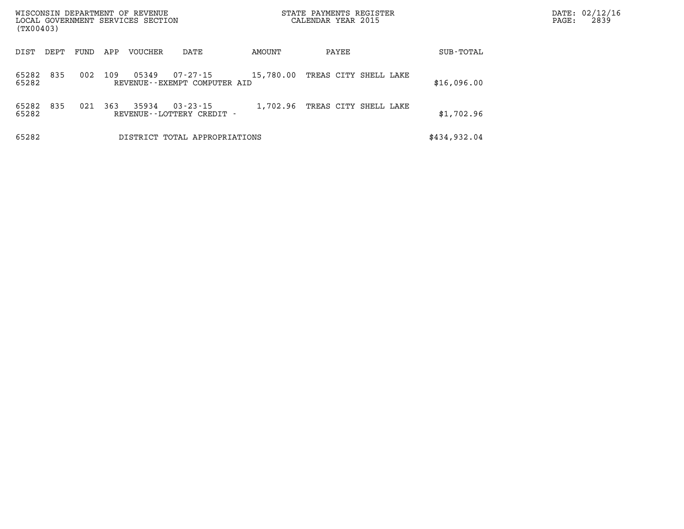|                | WISCONSIN DEPARTMENT OF REVENUE<br>STATE PAYMENTS REGISTER<br>CALENDAR YEAR 2015<br>LOCAL GOVERNMENT SERVICES SECTION<br>(TX00403) |      |     |                |                                                |           |                       |            |              | PAGE: | DATE: 02/12/16<br>2839 |
|----------------|------------------------------------------------------------------------------------------------------------------------------------|------|-----|----------------|------------------------------------------------|-----------|-----------------------|------------|--------------|-------|------------------------|
| DIST           | DEPT                                                                                                                               | FUND | APP | <b>VOUCHER</b> | DATE                                           | AMOUNT    | PAYEE                 |            | SUB-TOTAL    |       |                        |
| 65282<br>65282 | 835                                                                                                                                | 002  | 109 | 05349          | 07-27-15<br>REVENUE--EXEMPT COMPUTER AID       | 15,780.00 | TREAS CITY SHELL LAKE |            | \$16,096.00  |       |                        |
| 65282<br>65282 | 835                                                                                                                                | 021  | 363 | 35934          | $03 - 23 - 15$<br>REVENUE - - LOTTERY CREDIT - | 1,702.96  | TREAS CITY            | SHELL LAKE | \$1,702.96   |       |                        |
| 65282          |                                                                                                                                    |      |     |                | DISTRICT TOTAL APPROPRIATIONS                  |           |                       |            | \$434,932.04 |       |                        |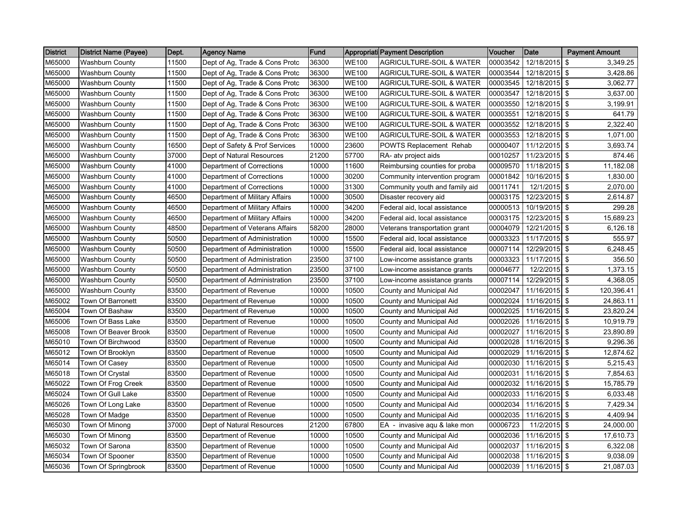| <b>District</b> | <b>District Name (Payee)</b> | Dept. | <b>Agency Name</b>             | Fund  |              | Appropriati Payment Description     | Voucher  | Date          | <b>Payment Amount</b> |
|-----------------|------------------------------|-------|--------------------------------|-------|--------------|-------------------------------------|----------|---------------|-----------------------|
| M65000          | <b>Washburn County</b>       | 11500 | Dept of Ag, Trade & Cons Protc | 36300 | <b>WE100</b> | <b>AGRICULTURE-SOIL &amp; WATER</b> | 00003542 | 12/18/2015    | 3,349.25<br>\$        |
| M65000          | <b>Washburn County</b>       | 11500 | Dept of Ag, Trade & Cons Protc | 36300 | <b>WE100</b> | AGRICULTURE-SOIL & WATER            | 00003544 | 12/18/2015 \$ | 3,428.86              |
| M65000          | <b>Washburn County</b>       | 11500 | Dept of Ag, Trade & Cons Protc | 36300 | <b>WE100</b> | <b>AGRICULTURE-SOIL &amp; WATER</b> | 00003545 | 12/18/2015 \$ | 3,062.77              |
| M65000          | Washburn County              | 11500 | Dept of Ag, Trade & Cons Protc | 36300 | <b>WE100</b> | <b>AGRICULTURE-SOIL &amp; WATER</b> | 00003547 | 12/18/2015 \$ | 3,637.00              |
| M65000          | <b>Washburn County</b>       | 11500 | Dept of Ag, Trade & Cons Protc | 36300 | <b>WE100</b> | <b>AGRICULTURE-SOIL &amp; WATER</b> | 00003550 | 12/18/2015 \$ | 3,199.91              |
| M65000          | <b>Washburn County</b>       | 11500 | Dept of Ag, Trade & Cons Protc | 36300 | <b>WE100</b> | <b>AGRICULTURE-SOIL &amp; WATER</b> | 00003551 | 12/18/2015 \$ | 641.79                |
| M65000          | Washburn County              | 11500 | Dept of Ag, Trade & Cons Protc | 36300 | <b>WE100</b> | <b>AGRICULTURE-SOIL &amp; WATER</b> | 00003552 | 12/18/2015 \$ | 2,322.40              |
| M65000          | <b>Washburn County</b>       | 11500 | Dept of Ag, Trade & Cons Protc | 36300 | <b>WE100</b> | <b>AGRICULTURE-SOIL &amp; WATER</b> | 00003553 | 12/18/2015 \$ | 1,071.00              |
| M65000          | Washburn County              | 16500 | Dept of Safety & Prof Services | 10000 | 23600        | POWTS Replacement Rehab             | 00000407 | 11/12/2015 \$ | 3,693.74              |
| M65000          | <b>Washburn County</b>       | 37000 | Dept of Natural Resources      | 21200 | 57700        | RA- atv project aids                | 00010257 | 11/23/2015 \$ | 874.46                |
| M65000          | <b>Washburn County</b>       | 41000 | Department of Corrections      | 10000 | 11600        | Reimbursing counties for proba      | 00009570 | 11/18/2015 \$ | 11,182.08             |
| M65000          | Washburn County              | 41000 | Department of Corrections      | 10000 | 30200        | Community intervention program      | 00001842 | 10/16/2015 \$ | 1,830.00              |
| M65000          | <b>Washburn County</b>       | 41000 | Department of Corrections      | 10000 | 31300        | Community youth and family aid      | 00011741 | 12/1/2015 \$  | 2,070.00              |
| M65000          | Washburn County              | 46500 | Department of Military Affairs | 10000 | 30500        | Disaster recovery aid               | 00003175 | 12/23/2015 \$ | 2,614.87              |
| M65000          | Washburn County              | 46500 | Department of Military Affairs | 10000 | 34200        | Federal aid, local assistance       | 00000513 | 10/19/2015    | l \$<br>299.28        |
| M65000          | <b>Washburn County</b>       | 46500 | Department of Military Affairs | 10000 | 34200        | Federal aid, local assistance       | 00003175 | 12/23/2015 \$ | 15,689.23             |
| M65000          | <b>Washburn County</b>       | 48500 | Department of Veterans Affairs | 58200 | 28000        | Veterans transportation grant       | 00004079 | 12/21/2015 \$ | 6,126.18              |
| M65000          | <b>Washburn County</b>       | 50500 | Department of Administration   | 10000 | 15500        | Federal aid, local assistance       | 00003323 | 11/17/2015 \$ | 555.97                |
| M65000          | <b>Washburn County</b>       | 50500 | Department of Administration   | 10000 | 15500        | Federal aid, local assistance       | 00007114 | 12/29/2015 \$ | 6,248.45              |
| M65000          | Washburn County              | 50500 | Department of Administration   | 23500 | 37100        | Low-income assistance grants        | 00003323 | 11/17/2015 \$ | 356.50                |
| M65000          | Washburn County              | 50500 | Department of Administration   | 23500 | 37100        | Low-income assistance grants        | 00004677 | 12/2/2015 \$  | 1,373.15              |
| M65000          | <b>Washburn County</b>       | 50500 | Department of Administration   | 23500 | 37100        | Low-income assistance grants        | 00007114 | 12/29/2015 \$ | 4,368.05              |
| M65000          | <b>Washburn County</b>       | 83500 | Department of Revenue          | 10000 | 10500        | County and Municipal Aid            | 00002047 | 11/16/2015 \$ | 120,396.41            |
| M65002          | Town Of Barronett            | 83500 | Department of Revenue          | 10000 | 10500        | County and Municipal Aid            | 00002024 | 11/16/2015 \$ | 24,863.11             |
| M65004          | Town Of Bashaw               | 83500 | Department of Revenue          | 10000 | 10500        | County and Municipal Aid            | 00002025 | 11/16/2015 \$ | 23,820.24             |
| M65006          | Town Of Bass Lake            | 83500 | Department of Revenue          | 10000 | 10500        | County and Municipal Aid            | 00002026 | 11/16/2015    | <b>S</b><br>10,919.79 |
| M65008          | Town Of Beaver Brook         | 83500 | Department of Revenue          | 10000 | 10500        | County and Municipal Aid            | 00002027 | 11/16/2015 \$ | 23,890.89             |
| M65010          | Town Of Birchwood            | 83500 | Department of Revenue          | 10000 | 10500        | County and Municipal Aid            | 00002028 | 11/16/2015 \$ | 9,296.36              |
| M65012          | Town Of Brooklyn             | 83500 | Department of Revenue          | 10000 | 10500        | County and Municipal Aid            | 00002029 | 11/16/2015 \$ | 12,874.62             |
| M65014          | Town Of Casey                | 83500 | Department of Revenue          | 10000 | 10500        | County and Municipal Aid            | 00002030 | 11/16/2015 \$ | 5,215.43              |
| M65018          | Town Of Crystal              | 83500 | Department of Revenue          | 10000 | 10500        | County and Municipal Aid            | 00002031 | 11/16/2015 \$ | 7,854.63              |
| M65022          | Town Of Frog Creek           | 83500 | Department of Revenue          | 10000 | 10500        | County and Municipal Aid            | 00002032 | 11/16/2015 \$ | 15,785.79             |
| M65024          | Town Of Gull Lake            | 83500 | Department of Revenue          | 10000 | 10500        | County and Municipal Aid            | 00002033 | 11/16/2015 \$ | 6,033.48              |
| M65026          | Town Of Long Lake            | 83500 | Department of Revenue          | 10000 | 10500        | County and Municipal Aid            | 00002034 | 11/16/2015 \$ | 7,429.34              |
| M65028          | Town Of Madge                | 83500 | Department of Revenue          | 10000 | 10500        | County and Municipal Aid            | 00002035 | 11/16/2015 \$ | 4,409.94              |
| M65030          | Town Of Minong               | 37000 | Dept of Natural Resources      | 21200 | 67800        | EA - invasive agu & lake mon        | 00006723 | 11/2/2015 \$  | 24,000.00             |
| M65030          | Town Of Minong               | 83500 | Department of Revenue          | 10000 | 10500        | County and Municipal Aid            | 00002036 | 11/16/2015    | <b>S</b><br>17,610.73 |
| M65032          | Town Of Sarona               | 83500 | Department of Revenue          | 10000 | 10500        | County and Municipal Aid            | 00002037 | 11/16/2015 \$ | 6,322.08              |
| M65034          | Town Of Spooner              | 83500 | Department of Revenue          | 10000 | 10500        | County and Municipal Aid            | 00002038 | 11/16/2015 \$ | 9,038.09              |
| M65036          | Town Of Springbrook          | 83500 | Department of Revenue          | 10000 | 10500        | County and Municipal Aid            | 00002039 | 11/16/2015 \$ | 21,087.03             |